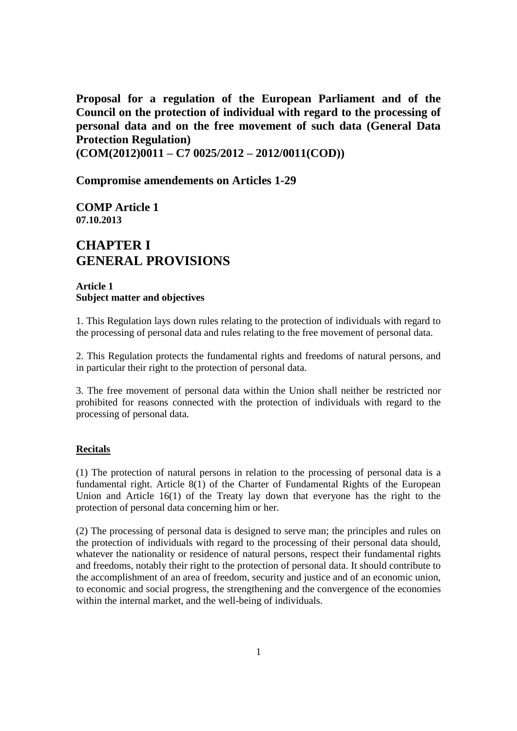**Proposal for a regulation of the European Parliament and of the Council on the protection of individual with regard to the processing of personal data and on the free movement of such data (General Data Protection Regulation)**

**(COM(2012)0011 – C7 0025/2012 – 2012/0011(COD))**

## **Compromise amendements on Articles 1-29**

**COMP Article 1 07.10.2013**

# **CHAPTER I GENERAL PROVISIONS**

#### **Article 1 Subject matter and objectives**

1. This Regulation lays down rules relating to the protection of individuals with regard to the processing of personal data and rules relating to the free movement of personal data.

2. This Regulation protects the fundamental rights and freedoms of natural persons, and in particular their right to the protection of personal data.

3. The free movement of personal data within the Union shall neither be restricted nor prohibited for reasons connected with the protection of individuals with regard to the processing of personal data.

### **Recitals**

(1) The protection of natural persons in relation to the processing of personal data is a fundamental right. Article 8(1) of the Charter of Fundamental Rights of the European Union and Article 16(1) of the Treaty lay down that everyone has the right to the protection of personal data concerning him or her.

(2) The processing of personal data is designed to serve man; the principles and rules on the protection of individuals with regard to the processing of their personal data should, whatever the nationality or residence of natural persons, respect their fundamental rights and freedoms, notably their right to the protection of personal data. It should contribute to the accomplishment of an area of freedom, security and justice and of an economic union, to economic and social progress, the strengthening and the convergence of the economies within the internal market, and the well-being of individuals.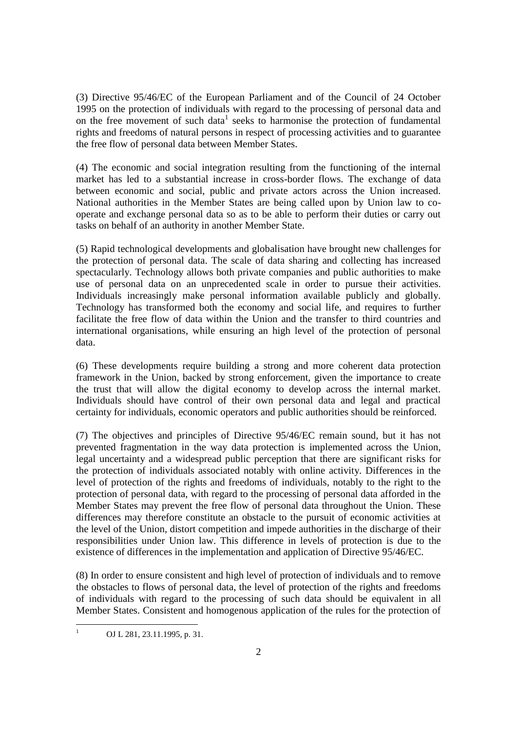(3) Directive 95/46/EC of the European Parliament and of the Council of 24 October 1995 on the protection of individuals with regard to the processing of personal data and on the free movement of such data<sup>1</sup> seeks to harmonise the protection of fundamental rights and freedoms of natural persons in respect of processing activities and to guarantee the free flow of personal data between Member States.

(4) The economic and social integration resulting from the functioning of the internal market has led to a substantial increase in cross-border flows. The exchange of data between economic and social, public and private actors across the Union increased. National authorities in the Member States are being called upon by Union law to cooperate and exchange personal data so as to be able to perform their duties or carry out tasks on behalf of an authority in another Member State.

(5) Rapid technological developments and globalisation have brought new challenges for the protection of personal data. The scale of data sharing and collecting has increased spectacularly. Technology allows both private companies and public authorities to make use of personal data on an unprecedented scale in order to pursue their activities. Individuals increasingly make personal information available publicly and globally. Technology has transformed both the economy and social life, and requires to further facilitate the free flow of data within the Union and the transfer to third countries and international organisations, while ensuring an high level of the protection of personal data.

(6) These developments require building a strong and more coherent data protection framework in the Union, backed by strong enforcement, given the importance to create the trust that will allow the digital economy to develop across the internal market. Individuals should have control of their own personal data and legal and practical certainty for individuals, economic operators and public authorities should be reinforced.

(7) The objectives and principles of Directive 95/46/EC remain sound, but it has not prevented fragmentation in the way data protection is implemented across the Union, legal uncertainty and a widespread public perception that there are significant risks for the protection of individuals associated notably with online activity. Differences in the level of protection of the rights and freedoms of individuals, notably to the right to the protection of personal data, with regard to the processing of personal data afforded in the Member States may prevent the free flow of personal data throughout the Union. These differences may therefore constitute an obstacle to the pursuit of economic activities at the level of the Union, distort competition and impede authorities in the discharge of their responsibilities under Union law. This difference in levels of protection is due to the existence of differences in the implementation and application of Directive 95/46/EC.

(8) In order to ensure consistent and high level of protection of individuals and to remove the obstacles to flows of personal data, the level of protection of the rights and freedoms of individuals with regard to the processing of such data should be equivalent in all Member States. Consistent and homogenous application of the rules for the protection of

 $\overline{1}$ OJ L 281, 23.11.1995, p. 31.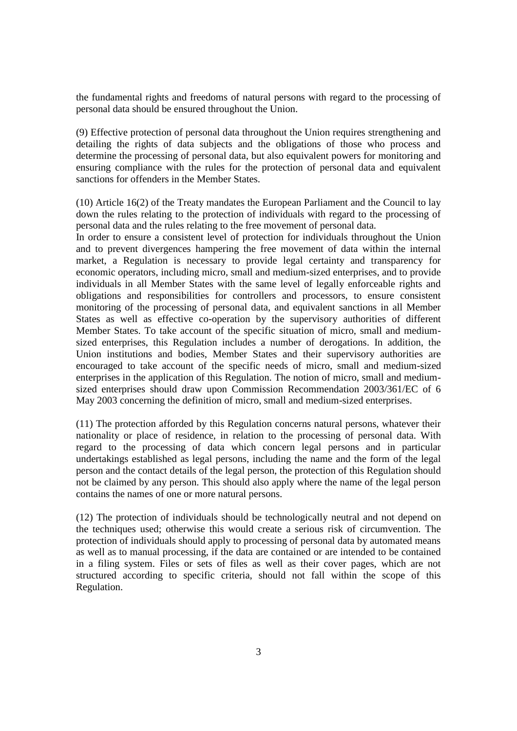the fundamental rights and freedoms of natural persons with regard to the processing of personal data should be ensured throughout the Union.

(9) Effective protection of personal data throughout the Union requires strengthening and detailing the rights of data subjects and the obligations of those who process and determine the processing of personal data, but also equivalent powers for monitoring and ensuring compliance with the rules for the protection of personal data and equivalent sanctions for offenders in the Member States.

(10) Article 16(2) of the Treaty mandates the European Parliament and the Council to lay down the rules relating to the protection of individuals with regard to the processing of personal data and the rules relating to the free movement of personal data.

In order to ensure a consistent level of protection for individuals throughout the Union and to prevent divergences hampering the free movement of data within the internal market, a Regulation is necessary to provide legal certainty and transparency for economic operators, including micro, small and medium-sized enterprises, and to provide individuals in all Member States with the same level of legally enforceable rights and obligations and responsibilities for controllers and processors, to ensure consistent monitoring of the processing of personal data, and equivalent sanctions in all Member States as well as effective co-operation by the supervisory authorities of different Member States. To take account of the specific situation of micro, small and mediumsized enterprises, this Regulation includes a number of derogations. In addition, the Union institutions and bodies, Member States and their supervisory authorities are encouraged to take account of the specific needs of micro, small and medium-sized enterprises in the application of this Regulation. The notion of micro, small and mediumsized enterprises should draw upon Commission Recommendation 2003/361/EC of 6 May 2003 concerning the definition of micro, small and medium-sized enterprises.

(11) The protection afforded by this Regulation concerns natural persons, whatever their nationality or place of residence, in relation to the processing of personal data. With regard to the processing of data which concern legal persons and in particular undertakings established as legal persons, including the name and the form of the legal person and the contact details of the legal person, the protection of this Regulation should not be claimed by any person. This should also apply where the name of the legal person contains the names of one or more natural persons.

(12) The protection of individuals should be technologically neutral and not depend on the techniques used; otherwise this would create a serious risk of circumvention. The protection of individuals should apply to processing of personal data by automated means as well as to manual processing, if the data are contained or are intended to be contained in a filing system. Files or sets of files as well as their cover pages, which are not structured according to specific criteria, should not fall within the scope of this Regulation.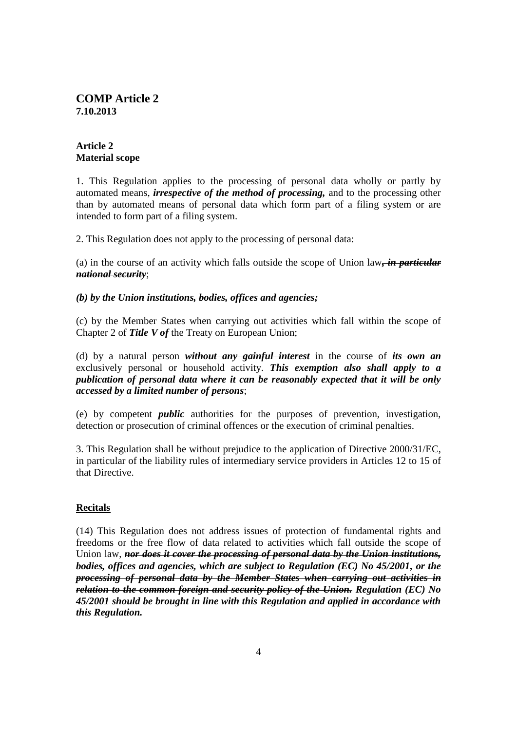## **COMP Article 2 7.10.2013**

## **Article 2 Material scope**

1. This Regulation applies to the processing of personal data wholly or partly by automated means, *irrespective of the method of processing,* and to the processing other than by automated means of personal data which form part of a filing system or are intended to form part of a filing system.

2. This Regulation does not apply to the processing of personal data:

(a) in the course of an activity which falls outside the scope of Union law*, in particular national security*;

#### *(b) by the Union institutions, bodies, offices and agencies;*

(c) by the Member States when carrying out activities which fall within the scope of Chapter 2 of *Title V of* the Treaty on European Union;

(d) by a natural person *without any gainful interest* in the course of *its own an* exclusively personal or household activity. *This exemption also shall apply to a publication of personal data where it can be reasonably expected that it will be only accessed by a limited number of persons*;

(e) by competent *public* authorities for the purposes of prevention, investigation, detection or prosecution of criminal offences or the execution of criminal penalties.

3. This Regulation shall be without prejudice to the application of Directive 2000/31/EC, in particular of the liability rules of intermediary service providers in Articles 12 to 15 of that Directive.

### **Recitals**

(14) This Regulation does not address issues of protection of fundamental rights and freedoms or the free flow of data related to activities which fall outside the scope of Union law, *nor does it cover the processing of personal data by the Union institutions, bodies, offices and agencies, which are subject to Regulation (EC) No 45/2001, or the processing of personal data by the Member States when carrying out activities in relation to the common foreign and security policy of the Union. Regulation (EC) No 45/2001 should be brought in line with this Regulation and applied in accordance with this Regulation.*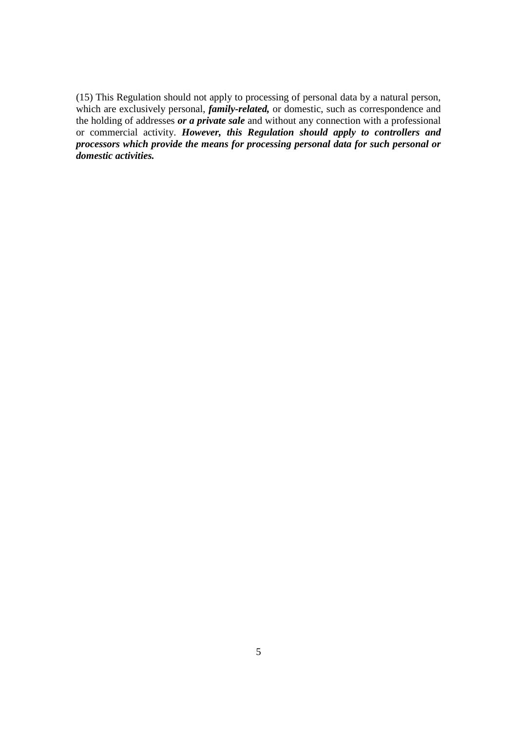(15) This Regulation should not apply to processing of personal data by a natural person, which are exclusively personal, *family-related*, or domestic, such as correspondence and the holding of addresses *or a private sale* and without any connection with a professional or commercial activity. *However, this Regulation should apply to controllers and processors which provide the means for processing personal data for such personal or domestic activities.*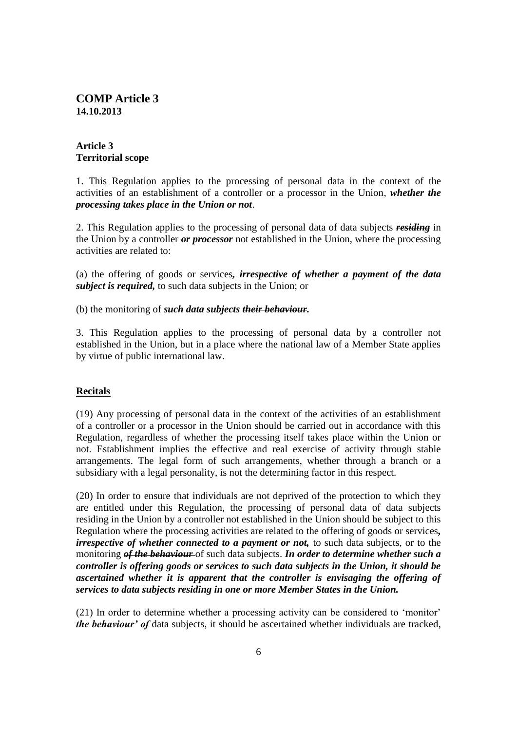## **COMP Article 3 14.10.2013**

## **Article 3 Territorial scope**

1. This Regulation applies to the processing of personal data in the context of the activities of an establishment of a controller or a processor in the Union, *whether the processing takes place in the Union or not*.

2. This Regulation applies to the processing of personal data of data subjects *residing* in the Union by a controller *or processor* not established in the Union, where the processing activities are related to:

(a) the offering of goods or services*, irrespective of whether a payment of the data subject is required,* to such data subjects in the Union; or

(b) the monitoring of *such data subjects their behaviour.*

3. This Regulation applies to the processing of personal data by a controller not established in the Union, but in a place where the national law of a Member State applies by virtue of public international law.

### **Recitals**

(19) Any processing of personal data in the context of the activities of an establishment of a controller or a processor in the Union should be carried out in accordance with this Regulation, regardless of whether the processing itself takes place within the Union or not. Establishment implies the effective and real exercise of activity through stable arrangements. The legal form of such arrangements, whether through a branch or a subsidiary with a legal personality, is not the determining factor in this respect.

(20) In order to ensure that individuals are not deprived of the protection to which they are entitled under this Regulation, the processing of personal data of data subjects residing in the Union by a controller not established in the Union should be subject to this Regulation where the processing activities are related to the offering of goods or services*, irrespective of whether connected to a payment or not,* to such data subjects, or to the monitoring *of the behaviour* of such data subjects. *In order to determine whether such a controller is offering goods or services to such data subjects in the Union, it should be ascertained whether it is apparent that the controller is envisaging the offering of services to data subjects residing in one or more Member States in the Union.*

(21) In order to determine whether a processing activity can be considered to 'monitor' *the behaviour' of* data subjects, it should be ascertained whether individuals are tracked,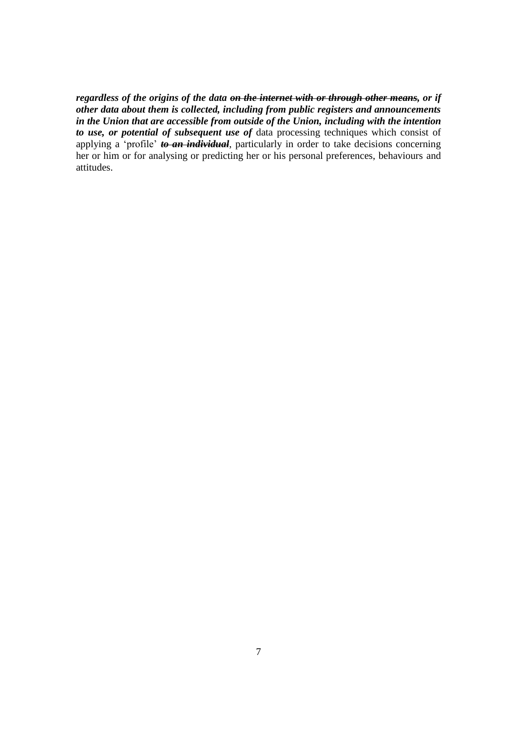*regardless of the origins of the data on the internet with or through other means, or if other data about them is collected, including from public registers and announcements in the Union that are accessible from outside of the Union, including with the intention to use, or potential of subsequent use of* data processing techniques which consist of applying a 'profile' *to an individual*, particularly in order to take decisions concerning her or him or for analysing or predicting her or his personal preferences, behaviours and attitudes.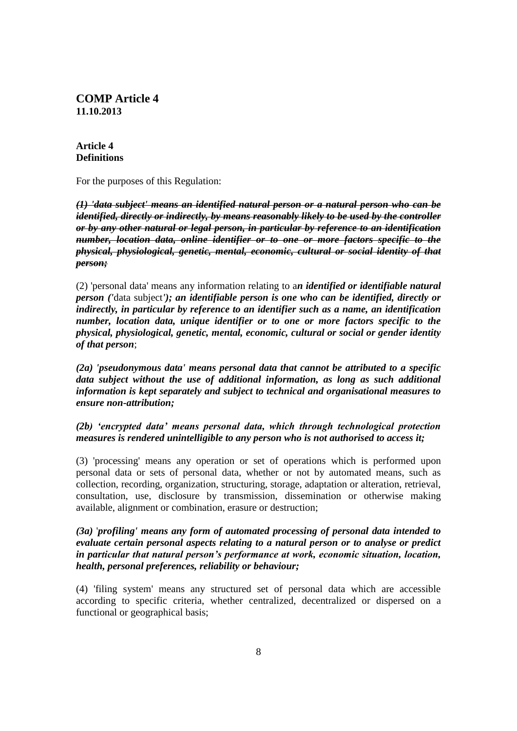## **COMP Article 4 11.10.2013**

## **Article 4 Definitions**

For the purposes of this Regulation:

*(1) 'data subject' means an identified natural person or a natural person who can be identified, directly or indirectly, by means reasonably likely to be used by the controller or by any other natural or legal person, in particular by reference to an identification number, location data, online identifier or to one or more factors specific to the physical, physiological, genetic, mental, economic, cultural or social identity of that person;*

(2) 'personal data' means any information relating to a*n identified or identifiable natural person ('*data subject*'); an identifiable person is one who can be identified, directly or indirectly, in particular by reference to an identifier such as a name, an identification number, location data, unique identifier or to one or more factors specific to the physical, physiological, genetic, mental, economic, cultural or social or gender identity of that person*;

*(2a) 'pseudonymous data' means personal data that cannot be attributed to a specific data subject without the use of additional information, as long as such additional information is kept separately and subject to technical and organisational measures to ensure non-attribution;*

### *(2b) 'encrypted data' means personal data, which through technological protection measures is rendered unintelligible to any person who is not authorised to access it;*

(3) 'processing' means any operation or set of operations which is performed upon personal data or sets of personal data, whether or not by automated means, such as collection, recording, organization, structuring, storage, adaptation or alteration, retrieval, consultation, use, disclosure by transmission, dissemination or otherwise making available, alignment or combination, erasure or destruction;

#### *(3a)* '*profiling' means any form of automated processing of personal data intended to evaluate certain personal aspects relating to a natural person or to analyse or predict in particular that natural person's performance at work, economic situation, location, health, personal preferences, reliability or behaviour;*

(4) 'filing system' means any structured set of personal data which are accessible according to specific criteria, whether centralized, decentralized or dispersed on a functional or geographical basis;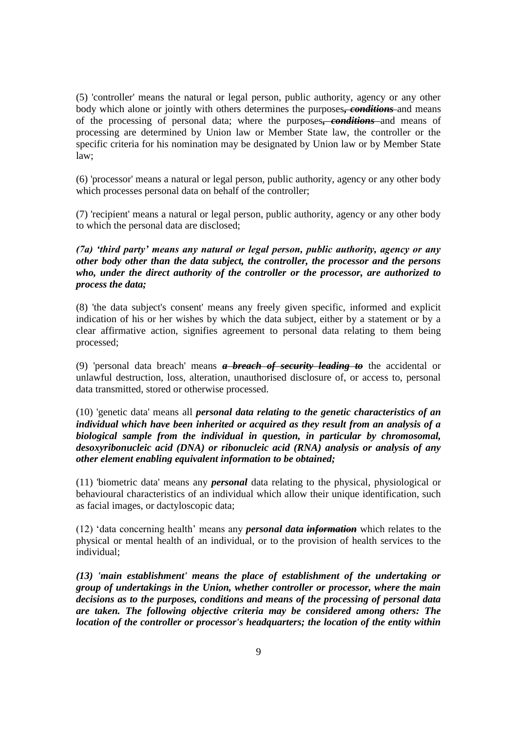(5) 'controller' means the natural or legal person, public authority, agency or any other body which alone or jointly with others determines the purposes*, conditions* and means of the processing of personal data; where the purposes*, conditions* and means of processing are determined by Union law or Member State law, the controller or the specific criteria for his nomination may be designated by Union law or by Member State law;

(6) 'processor' means a natural or legal person, public authority, agency or any other body which processes personal data on behalf of the controller;

(7) 'recipient' means a natural or legal person, public authority, agency or any other body to which the personal data are disclosed;

*(7a) 'third party' means any natural or legal person, public authority, agency or any other body other than the data subject, the controller, the processor and the persons who, under the direct authority of the controller or the processor, are authorized to process the data;*

(8) 'the data subject's consent' means any freely given specific, informed and explicit indication of his or her wishes by which the data subject, either by a statement or by a clear affirmative action, signifies agreement to personal data relating to them being processed;

(9) 'personal data breach' means *a breach of security leading to* the accidental or unlawful destruction, loss, alteration, unauthorised disclosure of, or access to, personal data transmitted, stored or otherwise processed.

(10) 'genetic data' means all *personal data relating to the genetic characteristics of an individual which have been inherited or acquired as they result from an analysis of a biological sample from the individual in question, in particular by chromosomal, desoxyribonucleic acid (DNA) or ribonucleic acid (RNA) analysis or analysis of any other element enabling equivalent information to be obtained;*

(11) 'biometric data' means any *personal* data relating to the physical, physiological or behavioural characteristics of an individual which allow their unique identification, such as facial images, or dactyloscopic data;

(12) 'data concerning health' means any *personal data information* which relates to the physical or mental health of an individual, or to the provision of health services to the individual;

*(13) 'main establishment' means the place of establishment of the undertaking or group of undertakings in the Union, whether controller or processor, where the main decisions as to the purposes, conditions and means of the processing of personal data are taken. The following objective criteria may be considered among others: The location of the controller or processor's headquarters; the location of the entity within*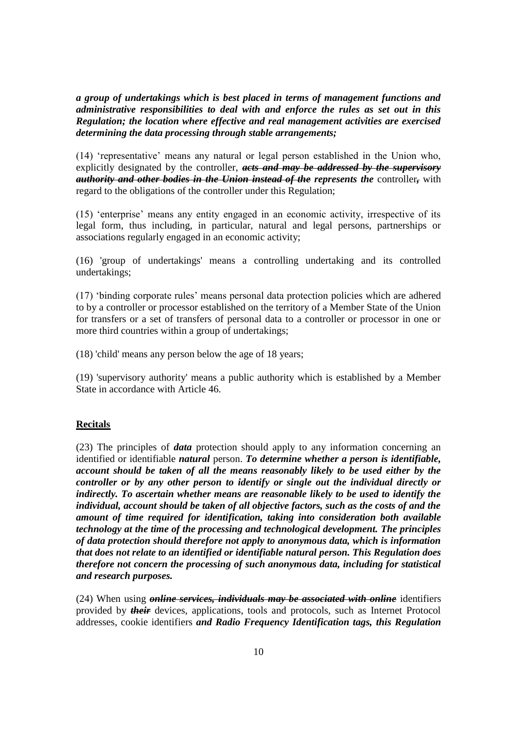*a group of undertakings which is best placed in terms of management functions and administrative responsibilities to deal with and enforce the rules as set out in this Regulation; the location where effective and real management activities are exercised determining the data processing through stable arrangements;*

(14) 'representative' means any natural or legal person established in the Union who, explicitly designated by the controller, *acts and may be addressed by the supervisory authority and other bodies in the Union instead of the represents the* controller*,* with regard to the obligations of the controller under this Regulation;

(15) 'enterprise' means any entity engaged in an economic activity, irrespective of its legal form, thus including, in particular, natural and legal persons, partnerships or associations regularly engaged in an economic activity;

(16) 'group of undertakings' means a controlling undertaking and its controlled undertakings;

(17) 'binding corporate rules' means personal data protection policies which are adhered to by a controller or processor established on the territory of a Member State of the Union for transfers or a set of transfers of personal data to a controller or processor in one or more third countries within a group of undertakings;

(18) 'child' means any person below the age of 18 years;

(19) 'supervisory authority' means a public authority which is established by a Member State in accordance with Article 46.

#### **Recitals**

(23) The principles of *data* protection should apply to any information concerning an identified or identifiable *natural* person. *To determine whether a person is identifiable, account should be taken of all the means reasonably likely to be used either by the controller or by any other person to identify or single out the individual directly or indirectly. To ascertain whether means are reasonable likely to be used to identify the individual, account should be taken of all objective factors, such as the costs of and the amount of time required for identification, taking into consideration both available technology at the time of the processing and technological development. The principles of data protection should therefore not apply to anonymous data, which is information that does not relate to an identified or identifiable natural person. This Regulation does therefore not concern the processing of such anonymous data, including for statistical and research purposes.*

(24) When using *online services, individuals may be associated with online* identifiers provided by *their* devices, applications, tools and protocols, such as Internet Protocol addresses, cookie identifiers *and Radio Frequency Identification tags, this Regulation*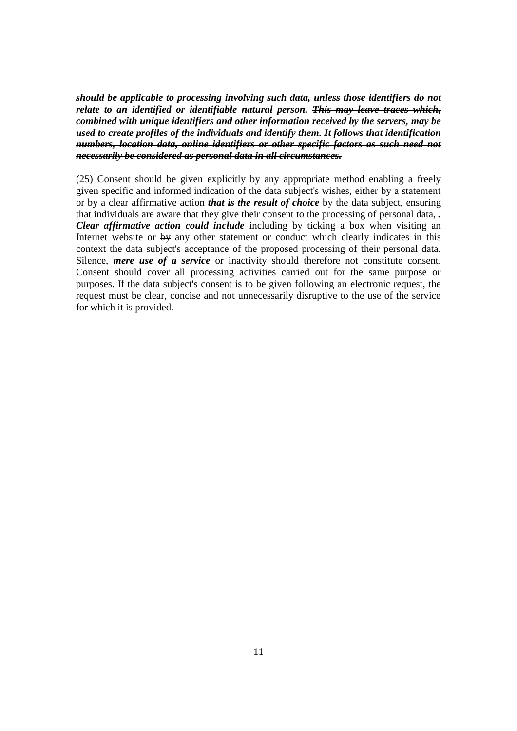*should be applicable to processing involving such data, unless those identifiers do not relate to an identified or identifiable natural person. This may leave traces which, combined with unique identifiers and other information received by the servers, may be used to create profiles of the individuals and identify them. It follows that identification numbers, location data, online identifiers or other specific factors as such need not necessarily be considered as personal data in all circumstances.*

(25) Consent should be given explicitly by any appropriate method enabling a freely given specific and informed indication of the data subject's wishes, either by a statement or by a clear affirmative action *that is the result of choice* by the data subject, ensuring that individuals are aware that they give their consent to the processing of personal data, *. Clear affirmative action could include* including by ticking a box when visiting an Internet website or by any other statement or conduct which clearly indicates in this context the data subject's acceptance of the proposed processing of their personal data. Silence, *mere use of a service* or inactivity should therefore not constitute consent. Consent should cover all processing activities carried out for the same purpose or purposes. If the data subject's consent is to be given following an electronic request, the request must be clear, concise and not unnecessarily disruptive to the use of the service for which it is provided.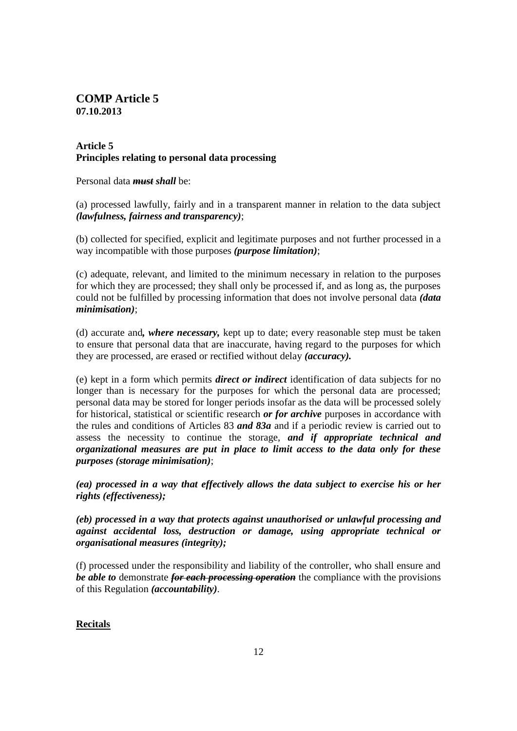## **COMP Article 5 07.10.2013**

## **Article 5 Principles relating to personal data processing**

Personal data *must shall* be:

(a) processed lawfully, fairly and in a transparent manner in relation to the data subject *(lawfulness, fairness and transparency)*;

(b) collected for specified, explicit and legitimate purposes and not further processed in a way incompatible with those purposes *(purpose limitation)*;

(c) adequate, relevant, and limited to the minimum necessary in relation to the purposes for which they are processed; they shall only be processed if, and as long as, the purposes could not be fulfilled by processing information that does not involve personal data *(data minimisation)*;

(d) accurate and*, where necessary,* kept up to date; every reasonable step must be taken to ensure that personal data that are inaccurate, having regard to the purposes for which they are processed, are erased or rectified without delay *(accuracy).*

(e) kept in a form which permits *direct or indirect* identification of data subjects for no longer than is necessary for the purposes for which the personal data are processed; personal data may be stored for longer periods insofar as the data will be processed solely for historical, statistical or scientific research *or for archive* purposes in accordance with the rules and conditions of Articles 83 *and 83a* and if a periodic review is carried out to assess the necessity to continue the storage, *and if appropriate technical and organizational measures are put in place to limit access to the data only for these purposes (storage minimisation)*;

*(ea) processed in a way that effectively allows the data subject to exercise his or her rights (effectiveness);*

*(eb) processed in a way that protects against unauthorised or unlawful processing and against accidental loss, destruction or damage, using appropriate technical or organisational measures (integrity);*

(f) processed under the responsibility and liability of the controller, who shall ensure and *be able to* demonstrate *for each processing operation* the compliance with the provisions of this Regulation *(accountability)*.

### **Recitals**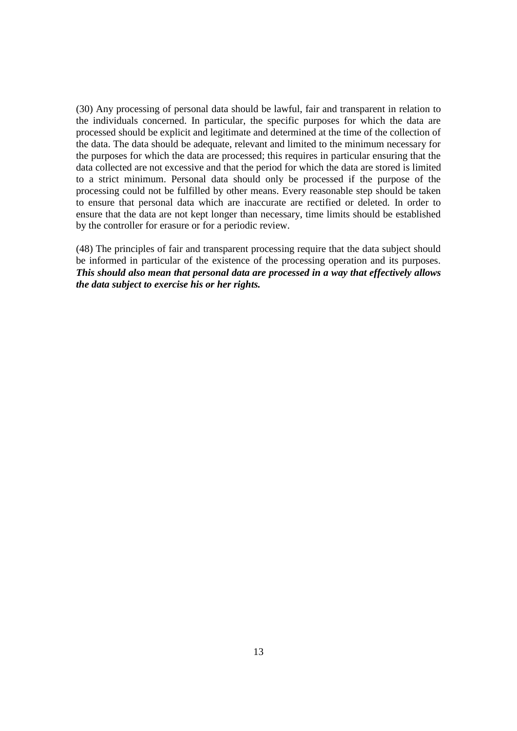(30) Any processing of personal data should be lawful, fair and transparent in relation to the individuals concerned. In particular, the specific purposes for which the data are processed should be explicit and legitimate and determined at the time of the collection of the data. The data should be adequate, relevant and limited to the minimum necessary for the purposes for which the data are processed; this requires in particular ensuring that the data collected are not excessive and that the period for which the data are stored is limited to a strict minimum. Personal data should only be processed if the purpose of the processing could not be fulfilled by other means. Every reasonable step should be taken to ensure that personal data which are inaccurate are rectified or deleted. In order to ensure that the data are not kept longer than necessary, time limits should be established by the controller for erasure or for a periodic review.

(48) The principles of fair and transparent processing require that the data subject should be informed in particular of the existence of the processing operation and its purposes. *This should also mean that personal data are processed in a way that effectively allows the data subject to exercise his or her rights.*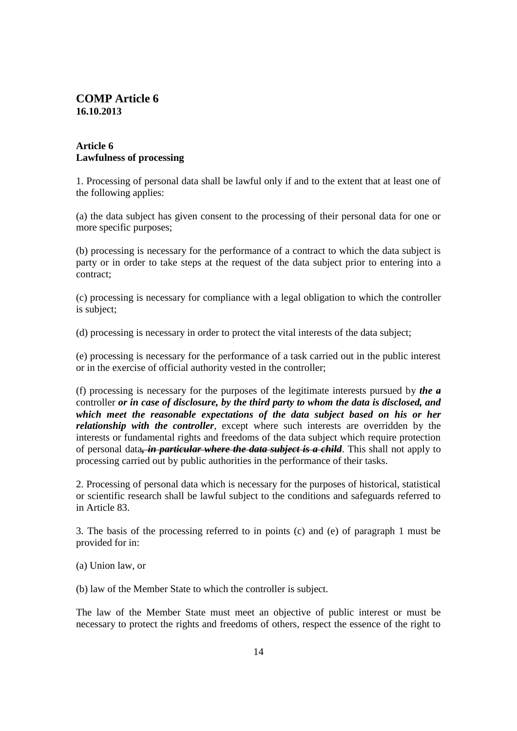## **COMP Article 6 16.10.2013**

## **Article 6 Lawfulness of processing**

1. Processing of personal data shall be lawful only if and to the extent that at least one of the following applies:

(a) the data subject has given consent to the processing of their personal data for one or more specific purposes;

(b) processing is necessary for the performance of a contract to which the data subject is party or in order to take steps at the request of the data subject prior to entering into a contract;

(c) processing is necessary for compliance with a legal obligation to which the controller is subject;

(d) processing is necessary in order to protect the vital interests of the data subject;

(e) processing is necessary for the performance of a task carried out in the public interest or in the exercise of official authority vested in the controller;

(f) processing is necessary for the purposes of the legitimate interests pursued by *the a* controller *or in case of disclosure, by the third party to whom the data is disclosed, and which meet the reasonable expectations of the data subject based on his or her relationship with the controller*, except where such interests are overridden by the interests or fundamental rights and freedoms of the data subject which require protection of personal data*, in particular where the data subject is a child*. This shall not apply to processing carried out by public authorities in the performance of their tasks.

2. Processing of personal data which is necessary for the purposes of historical, statistical or scientific research shall be lawful subject to the conditions and safeguards referred to in Article 83.

3. The basis of the processing referred to in points (c) and (e) of paragraph 1 must be provided for in:

(a) Union law, or

(b) law of the Member State to which the controller is subject.

The law of the Member State must meet an objective of public interest or must be necessary to protect the rights and freedoms of others, respect the essence of the right to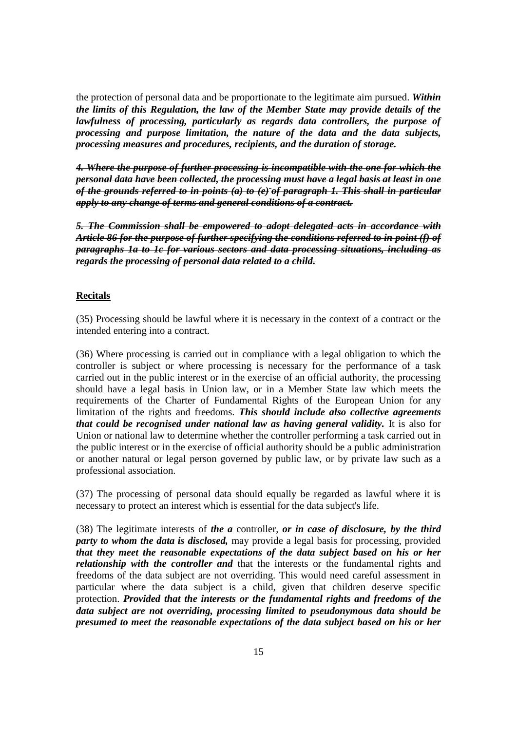the protection of personal data and be proportionate to the legitimate aim pursued. *Within the limits of this Regulation, the law of the Member State may provide details of the lawfulness of processing, particularly as regards data controllers, the purpose of processing and purpose limitation, the nature of the data and the data subjects, processing measures and procedures, recipients, and the duration of storage.*

*4. Where the purpose of further processing is incompatible with the one for which the personal data have been collected, the processing must have a legal basis at least in one of the grounds referred to in points (a) to (e) of paragraph 1. This shall in particular apply to any change of terms and general conditions of a contract.*

*5. The Commission shall be empowered to adopt delegated acts in accordance with Article 86 for the purpose of further specifying the conditions referred to in point (f) of paragraphs 1a to 1c for various sectors and data processing situations, including as regards the processing of personal data related to a child.*

#### **Recitals**

(35) Processing should be lawful where it is necessary in the context of a contract or the intended entering into a contract.

(36) Where processing is carried out in compliance with a legal obligation to which the controller is subject or where processing is necessary for the performance of a task carried out in the public interest or in the exercise of an official authority, the processing should have a legal basis in Union law, or in a Member State law which meets the requirements of the Charter of Fundamental Rights of the European Union for any limitation of the rights and freedoms. *This should include also collective agreements that could be recognised under national law as having general validity.* It is also for Union or national law to determine whether the controller performing a task carried out in the public interest or in the exercise of official authority should be a public administration or another natural or legal person governed by public law, or by private law such as a professional association.

(37) The processing of personal data should equally be regarded as lawful where it is necessary to protect an interest which is essential for the data subject's life.

(38) The legitimate interests of *the a* controller, *or in case of disclosure, by the third party to whom the data is disclosed,* may provide a legal basis for processing, provided *that they meet the reasonable expectations of the data subject based on his or her relationship with the controller and* that the interests or the fundamental rights and freedoms of the data subject are not overriding. This would need careful assessment in particular where the data subject is a child, given that children deserve specific protection. *Provided that the interests or the fundamental rights and freedoms of the data subject are not overriding, processing limited to pseudonymous data should be presumed to meet the reasonable expectations of the data subject based on his or her*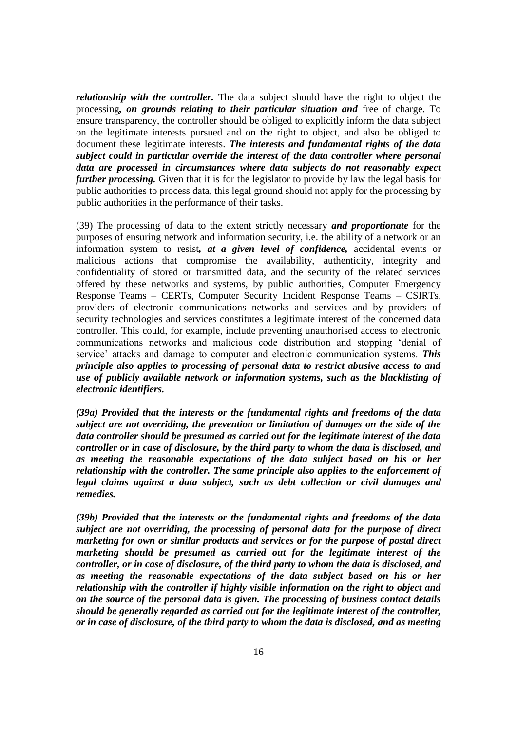*relationship with the controller.* The data subject should have the right to object the processing*, on grounds relating to their particular situation and* free of charge. To ensure transparency, the controller should be obliged to explicitly inform the data subject on the legitimate interests pursued and on the right to object, and also be obliged to document these legitimate interests. *The interests and fundamental rights of the data subject could in particular override the interest of the data controller where personal data are processed in circumstances where data subjects do not reasonably expect further processing.* Given that it is for the legislator to provide by law the legal basis for public authorities to process data, this legal ground should not apply for the processing by public authorities in the performance of their tasks.

(39) The processing of data to the extent strictly necessary *and proportionate* for the purposes of ensuring network and information security, i.e. the ability of a network or an information system to resist*, at a given level of confidence,* accidental events or malicious actions that compromise the availability, authenticity, integrity and confidentiality of stored or transmitted data, and the security of the related services offered by these networks and systems, by public authorities, Computer Emergency Response Teams – CERTs, Computer Security Incident Response Teams – CSIRTs, providers of electronic communications networks and services and by providers of security technologies and services constitutes a legitimate interest of the concerned data controller. This could, for example, include preventing unauthorised access to electronic communications networks and malicious code distribution and stopping 'denial of service' attacks and damage to computer and electronic communication systems. *This principle also applies to processing of personal data to restrict abusive access to and use of publicly available network or information systems, such as the blacklisting of electronic identifiers.* 

*(39a) Provided that the interests or the fundamental rights and freedoms of the data subject are not overriding, the prevention or limitation of damages on the side of the data controller should be presumed as carried out for the legitimate interest of the data controller or in case of disclosure, by the third party to whom the data is disclosed, and as meeting the reasonable expectations of the data subject based on his or her relationship with the controller. The same principle also applies to the enforcement of legal claims against a data subject, such as debt collection or civil damages and remedies.*

*(39b) Provided that the interests or the fundamental rights and freedoms of the data subject are not overriding, the processing of personal data for the purpose of direct marketing for own or similar products and services or for the purpose of postal direct marketing should be presumed as carried out for the legitimate interest of the controller, or in case of disclosure, of the third party to whom the data is disclosed, and as meeting the reasonable expectations of the data subject based on his or her relationship with the controller if highly visible information on the right to object and on the source of the personal data is given. The processing of business contact details should be generally regarded as carried out for the legitimate interest of the controller, or in case of disclosure, of the third party to whom the data is disclosed, and as meeting*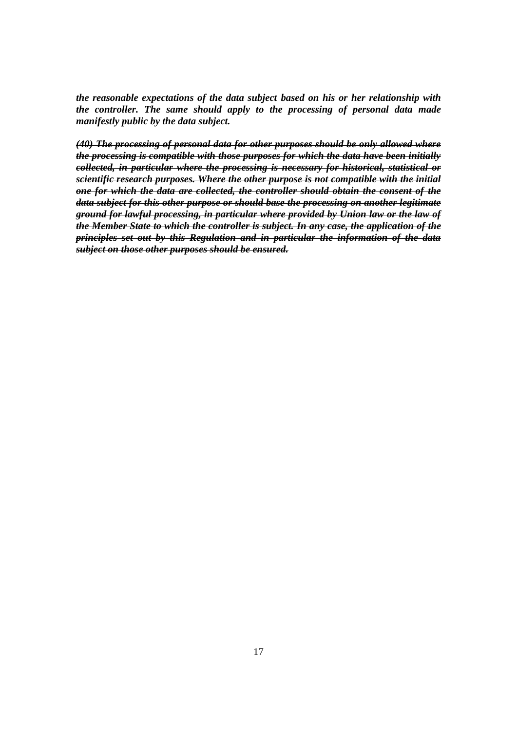*the reasonable expectations of the data subject based on his or her relationship with the controller. The same should apply to the processing of personal data made manifestly public by the data subject.*

*(40) The processing of personal data for other purposes should be only allowed where the processing is compatible with those purposes for which the data have been initially collected, in particular where the processing is necessary for historical, statistical or scientific research purposes. Where the other purpose is not compatible with the initial one for which the data are collected, the controller should obtain the consent of the data subject for this other purpose or should base the processing on another legitimate ground for lawful processing, in particular where provided by Union law or the law of the Member State to which the controller is subject. In any case, the application of the principles set out by this Regulation and in particular the information of the data subject on those other purposes should be ensured.*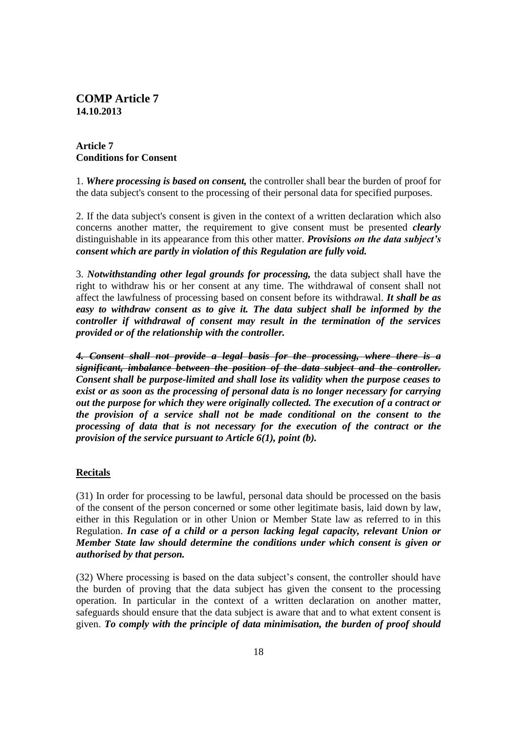## **COMP Article 7 14.10.2013**

## **Article 7 Conditions for Consent**

1. *Where processing is based on consent,* the controller shall bear the burden of proof for the data subject's consent to the processing of their personal data for specified purposes.

2. If the data subject's consent is given in the context of a written declaration which also concerns another matter, the requirement to give consent must be presented *clearly* distinguishable in its appearance from this other matter. *Provisions on the data subject's consent which are partly in violation of this Regulation are fully void.*

3. *Notwithstanding other legal grounds for processing,* the data subject shall have the right to withdraw his or her consent at any time. The withdrawal of consent shall not affect the lawfulness of processing based on consent before its withdrawal. *It shall be as easy to withdraw consent as to give it. The data subject shall be informed by the controller if withdrawal of consent may result in the termination of the services provided or of the relationship with the controller.*

*4. Consent shall not provide a legal basis for the processing, where there is a significant, imbalance between the position of the data subject and the controller. Consent shall be purpose-limited and shall lose its validity when the purpose ceases to exist or as soon as the processing of personal data is no longer necessary for carrying out the purpose for which they were originally collected. The execution of a contract or the provision of a service shall not be made conditional on the consent to the processing of data that is not necessary for the execution of the contract or the provision of the service pursuant to Article 6(1), point (b).*

### **Recitals**

(31) In order for processing to be lawful, personal data should be processed on the basis of the consent of the person concerned or some other legitimate basis, laid down by law, either in this Regulation or in other Union or Member State law as referred to in this Regulation. *In case of a child or a person lacking legal capacity, relevant Union or Member State law should determine the conditions under which consent is given or authorised by that person.*

(32) Where processing is based on the data subject's consent, the controller should have the burden of proving that the data subject has given the consent to the processing operation. In particular in the context of a written declaration on another matter, safeguards should ensure that the data subject is aware that and to what extent consent is given. *To comply with the principle of data minimisation, the burden of proof should*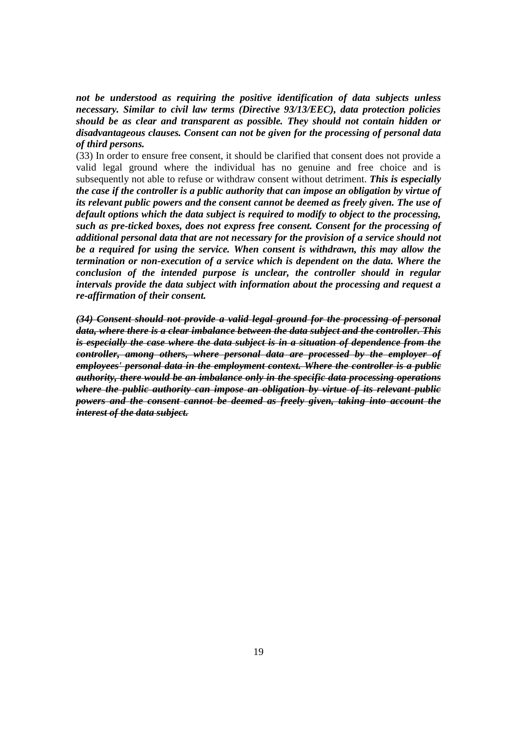*not be understood as requiring the positive identification of data subjects unless necessary. Similar to civil law terms (Directive 93/13/EEC), data protection policies should be as clear and transparent as possible. They should not contain hidden or disadvantageous clauses. Consent can not be given for the processing of personal data of third persons.*

(33) In order to ensure free consent, it should be clarified that consent does not provide a valid legal ground where the individual has no genuine and free choice and is subsequently not able to refuse or withdraw consent without detriment. *This is especially the case if the controller is a public authority that can impose an obligation by virtue of its relevant public powers and the consent cannot be deemed as freely given. The use of default options which the data subject is required to modify to object to the processing, such as pre-ticked boxes, does not express free consent. Consent for the processing of additional personal data that are not necessary for the provision of a service should not be a required for using the service. When consent is withdrawn, this may allow the termination or non-execution of a service which is dependent on the data. Where the conclusion of the intended purpose is unclear, the controller should in regular intervals provide the data subject with information about the processing and request a re-affirmation of their consent.*

*(34) Consent should not provide a valid legal ground for the processing of personal data, where there is a clear imbalance between the data subject and the controller. This is especially the case where the data subject is in a situation of dependence from the controller, among others, where personal data are processed by the employer of employees' personal data in the employment context. Where the controller is a public authority, there would be an imbalance only in the specific data processing operations where the public authority can impose an obligation by virtue of its relevant public powers and the consent cannot be deemed as freely given, taking into account the interest of the data subject.*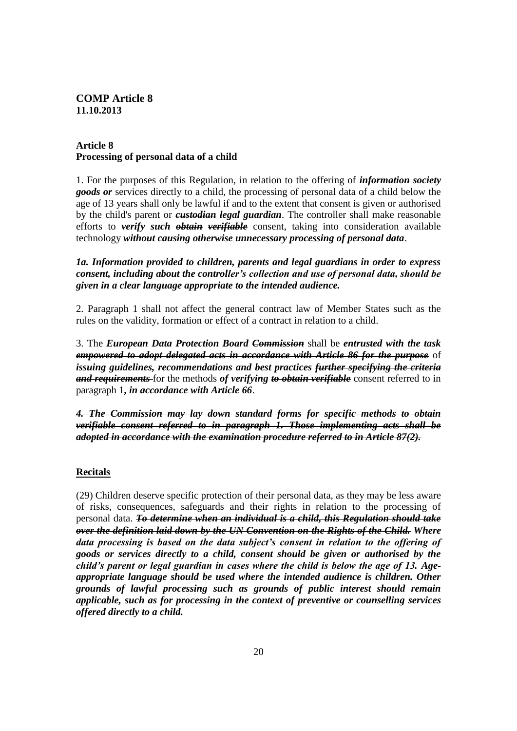#### **COMP Article 8 11.10.2013**

## **Article 8 Processing of personal data of a child**

1. For the purposes of this Regulation, in relation to the offering of *information society goods or* services directly to a child, the processing of personal data of a child below the age of 13 years shall only be lawful if and to the extent that consent is given or authorised by the child's parent or *custodian legal guardian*. The controller shall make reasonable efforts to *verify such obtain verifiable* consent, taking into consideration available technology *without causing otherwise unnecessary processing of personal data*.

*1a. Information provided to children, parents and legal guardians in order to express consent, including about the controller's collection and use of personal data, should be given in a clear language appropriate to the intended audience.*

2. Paragraph 1 shall not affect the general contract law of Member States such as the rules on the validity, formation or effect of a contract in relation to a child.

3. The *European Data Protection Board Commission* shall be *entrusted with the task empowered to adopt delegated acts in accordance with Article 86 for the purpose* of *issuing guidelines, recommendations and best practices further specifying the criteria and requirements* for the methods *of verifying to obtain verifiable* consent referred to in paragraph 1**,** *in accordance with Article 66*.

*4. The Commission may lay down standard forms for specific methods to obtain verifiable consent referred to in paragraph 1. Those implementing acts shall be adopted in accordance with the examination procedure referred to in Article 87(2).*

### **Recitals**

(29) Children deserve specific protection of their personal data, as they may be less aware of risks, consequences, safeguards and their rights in relation to the processing of personal data. *To determine when an individual is a child, this Regulation should take over the definition laid down by the UN Convention on the Rights of the Child. Where data processing is based on the data subject's consent in relation to the offering of goods or services directly to a child, consent should be given or authorised by the child's parent or legal guardian in cases where the child is below the age of 13. Ageappropriate language should be used where the intended audience is children. Other grounds of lawful processing such as grounds of public interest should remain applicable, such as for processing in the context of preventive or counselling services offered directly to a child.*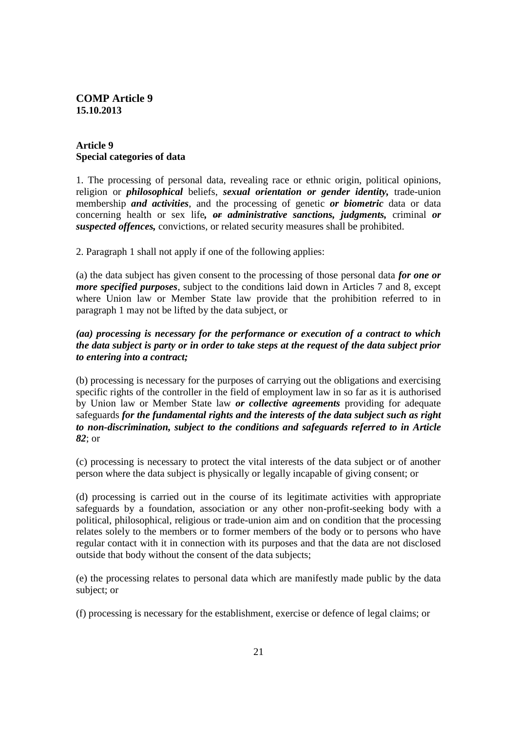**COMP Article 9 15.10.2013**

## **Article 9 Special categories of data**

1. The processing of personal data, revealing race or ethnic origin, political opinions, religion or *philosophical* beliefs, *sexual orientation or gender identity,* trade-union membership *and activities*, and the processing of genetic *or biometric* data or data concerning health or sex life*, or administrative sanctions, judgments,* criminal *or suspected offences,* convictions*,* or related security measures shall be prohibited.

2. Paragraph 1 shall not apply if one of the following applies:

(a) the data subject has given consent to the processing of those personal data *for one or more specified purposes*, subject to the conditions laid down in Articles 7 and 8, except where Union law or Member State law provide that the prohibition referred to in paragraph 1 may not be lifted by the data subject, or

## *(aa) processing is necessary for the performance or execution of a contract to which the data subject is party or in order to take steps at the request of the data subject prior to entering into a contract;*

(b) processing is necessary for the purposes of carrying out the obligations and exercising specific rights of the controller in the field of employment law in so far as it is authorised by Union law or Member State law *or collective agreements* providing for adequate safeguards *for the fundamental rights and the interests of the data subject such as right to non-discrimination, subject to the conditions and safeguards referred to in Article 82*; or

(c) processing is necessary to protect the vital interests of the data subject or of another person where the data subject is physically or legally incapable of giving consent; or

(d) processing is carried out in the course of its legitimate activities with appropriate safeguards by a foundation, association or any other non-profit-seeking body with a political, philosophical, religious or trade-union aim and on condition that the processing relates solely to the members or to former members of the body or to persons who have regular contact with it in connection with its purposes and that the data are not disclosed outside that body without the consent of the data subjects;

(e) the processing relates to personal data which are manifestly made public by the data subject; or

(f) processing is necessary for the establishment, exercise or defence of legal claims; or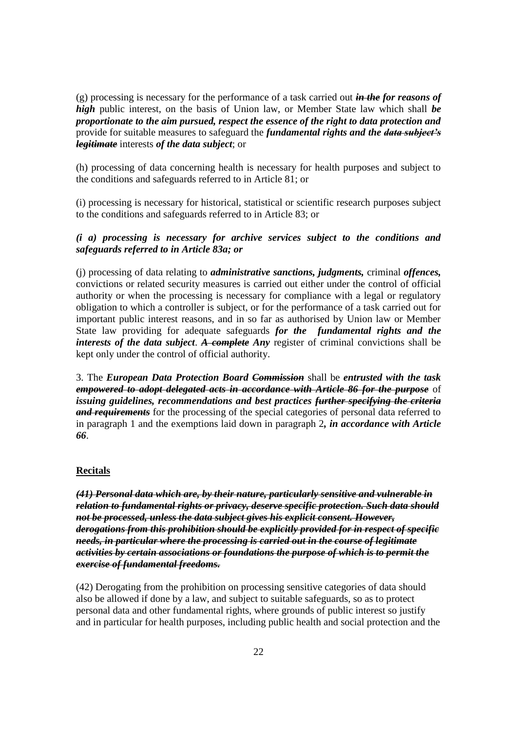(g) processing is necessary for the performance of a task carried out *in the for reasons of high* public interest, on the basis of Union law, or Member State law which shall *be proportionate to the aim pursued, respect the essence of the right to data protection and* provide for suitable measures to safeguard the *fundamental rights and the data subject's legitimate* interests *of the data subject*; or

(h) processing of data concerning health is necessary for health purposes and subject to the conditions and safeguards referred to in Article 81; or

(i) processing is necessary for historical, statistical or scientific research purposes subject to the conditions and safeguards referred to in Article 83; or

#### *(i a) processing is necessary for archive services subject to the conditions and safeguards referred to in Article 83a; or*

(j) processing of data relating to *administrative sanctions, judgments,* criminal *offences,* convictions or related security measures is carried out either under the control of official authority or when the processing is necessary for compliance with a legal or regulatory obligation to which a controller is subject, or for the performance of a task carried out for important public interest reasons, and in so far as authorised by Union law or Member State law providing for adequate safeguards *for the fundamental rights and the interests of the data subject*. *A complete Any* register of criminal convictions shall be kept only under the control of official authority.

3. The *European Data Protection Board Commission* shall be *entrusted with the task empowered to adopt delegated acts in accordance with Article 86 for the purpose* of *issuing guidelines, recommendations and best practices further specifying the criteria and requirements* for the processing of the special categories of personal data referred to in paragraph 1 and the exemptions laid down in paragraph 2*, in accordance with Article 66*.

#### **Recitals**

*(41) Personal data which are, by their nature, particularly sensitive and vulnerable in relation to fundamental rights or privacy, deserve specific protection. Such data should not be processed, unless the data subject gives his explicit consent. However, derogations from this prohibition should be explicitly provided for in respect of specific needs, in particular where the processing is carried out in the course of legitimate activities by certain associations or foundations the purpose of which is to permit the exercise of fundamental freedoms.*

(42) Derogating from the prohibition on processing sensitive categories of data should also be allowed if done by a law, and subject to suitable safeguards, so as to protect personal data and other fundamental rights, where grounds of public interest so justify and in particular for health purposes, including public health and social protection and the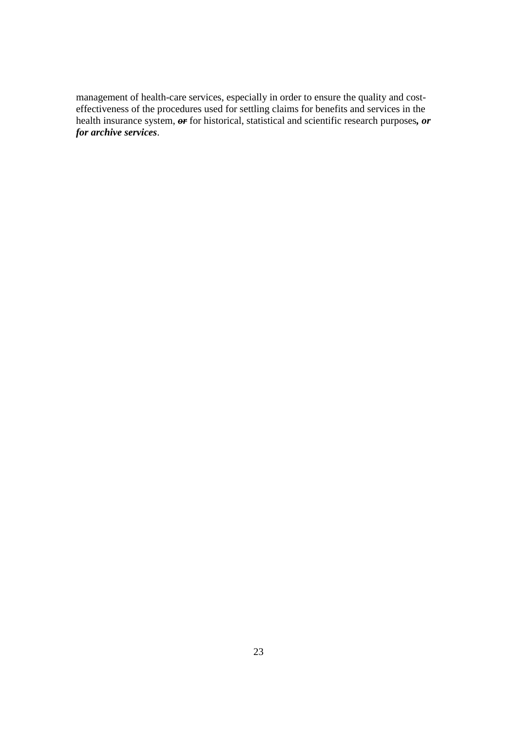management of health-care services, especially in order to ensure the quality and costeffectiveness of the procedures used for settling claims for benefits and services in the health insurance system, *or* for historical, statistical and scientific research purposes*, or for archive services*.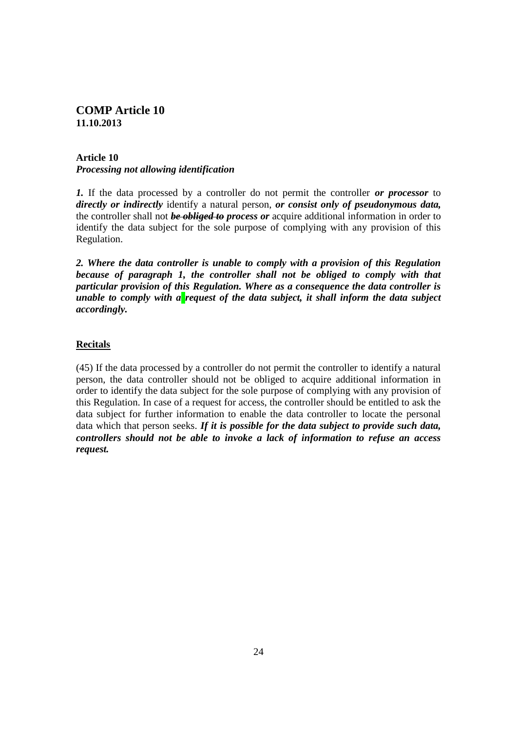## **COMP Article 10 11.10.2013**

## **Article 10** *Processing not allowing identification*

*1.* If the data processed by a controller do not permit the controller *or processor* to *directly or indirectly* identify a natural person, *or consist only of pseudonymous data,* the controller shall not *be obliged to process or* acquire additional information in order to identify the data subject for the sole purpose of complying with any provision of this Regulation.

*2. Where the data controller is unable to comply with a provision of this Regulation because of paragraph 1, the controller shall not be obliged to comply with that particular provision of this Regulation. Where as a consequence the data controller is unable to comply with a request of the data subject, it shall inform the data subject accordingly.*

### **Recitals**

(45) If the data processed by a controller do not permit the controller to identify a natural person, the data controller should not be obliged to acquire additional information in order to identify the data subject for the sole purpose of complying with any provision of this Regulation. In case of a request for access, the controller should be entitled to ask the data subject for further information to enable the data controller to locate the personal data which that person seeks. *If it is possible for the data subject to provide such data, controllers should not be able to invoke a lack of information to refuse an access request.*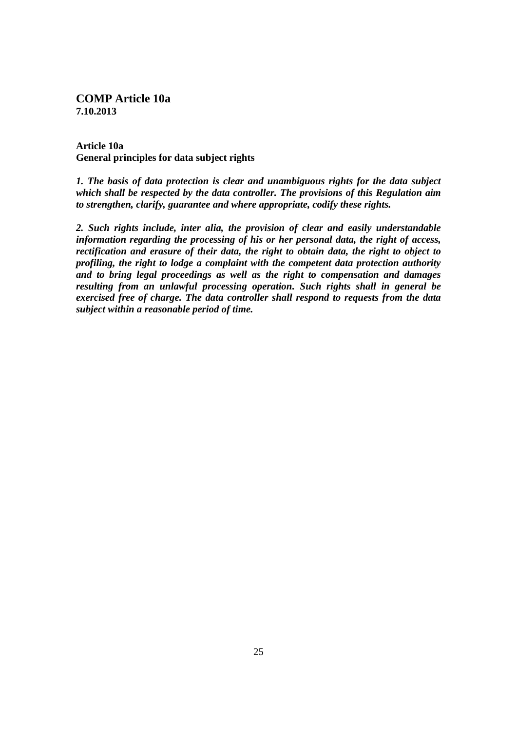#### **COMP Article 10a 7.10.2013**

#### **Article 10a General principles for data subject rights**

*1. The basis of data protection is clear and unambiguous rights for the data subject which shall be respected by the data controller. The provisions of this Regulation aim to strengthen, clarify, guarantee and where appropriate, codify these rights.*

*2. Such rights include, inter alia, the provision of clear and easily understandable information regarding the processing of his or her personal data, the right of access, rectification and erasure of their data, the right to obtain data, the right to object to profiling, the right to lodge a complaint with the competent data protection authority and to bring legal proceedings as well as the right to compensation and damages resulting from an unlawful processing operation. Such rights shall in general be exercised free of charge. The data controller shall respond to requests from the data subject within a reasonable period of time.*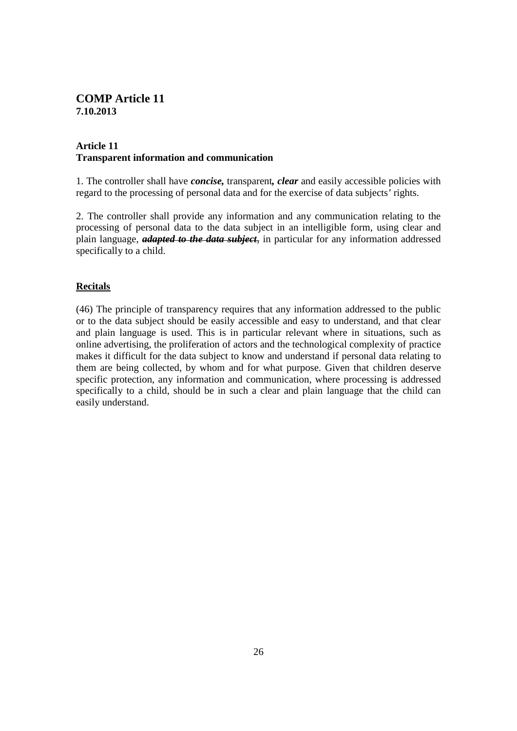## **COMP Article 11 7.10.2013**

## **Article 11 Transparent information and communication**

1. The controller shall have *concise,* transparent*, clear* and easily accessible policies with regard to the processing of personal data and for the exercise of data subjects*'* rights.

2. The controller shall provide any information and any communication relating to the processing of personal data to the data subject in an intelligible form, using clear and plain language, *adapted to the data subject*, in particular for any information addressed specifically to a child.

### **Recitals**

(46) The principle of transparency requires that any information addressed to the public or to the data subject should be easily accessible and easy to understand, and that clear and plain language is used. This is in particular relevant where in situations, such as online advertising, the proliferation of actors and the technological complexity of practice makes it difficult for the data subject to know and understand if personal data relating to them are being collected, by whom and for what purpose. Given that children deserve specific protection, any information and communication, where processing is addressed specifically to a child, should be in such a clear and plain language that the child can easily understand.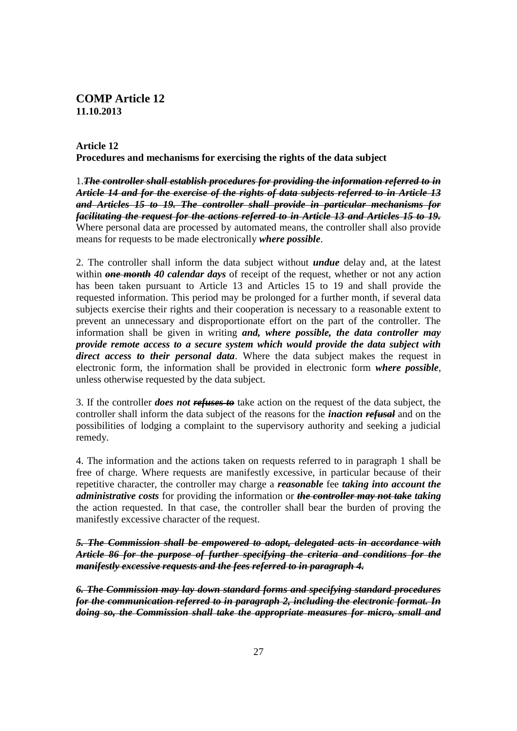## **COMP Article 12 11.10.2013**

#### **Article 12**

**Procedures and mechanisms for exercising the rights of the data subject**

1.*The controller shall establish procedures for providing the information referred to in Article 14 and for the exercise of the rights of data subjects referred to in Article 13 and Articles 15 to 19. The controller shall provide in particular mechanisms for facilitating the request for the actions referred to in Article 13 and Articles 15 to 19.* Where personal data are processed by automated means, the controller shall also provide means for requests to be made electronically *where possible*.

2. The controller shall inform the data subject without *undue* delay and, at the latest within *one month 40 calendar days* of receipt of the request, whether or not any action has been taken pursuant to Article 13 and Articles 15 to 19 and shall provide the requested information. This period may be prolonged for a further month, if several data subjects exercise their rights and their cooperation is necessary to a reasonable extent to prevent an unnecessary and disproportionate effort on the part of the controller. The information shall be given in writing *and, where possible, the data controller may provide remote access to a secure system which would provide the data subject with direct access to their personal data*. Where the data subject makes the request in electronic form, the information shall be provided in electronic form *where possible*, unless otherwise requested by the data subject.

3. If the controller *does not refuses to* take action on the request of the data subject, the controller shall inform the data subject of the reasons for the *inaction refusal* and on the possibilities of lodging a complaint to the supervisory authority and seeking a judicial remedy.

4. The information and the actions taken on requests referred to in paragraph 1 shall be free of charge. Where requests are manifestly excessive, in particular because of their repetitive character, the controller may charge a *reasonable* fee *taking into account the administrative costs* for providing the information or *the controller may not take taking* the action requested. In that case, the controller shall bear the burden of proving the manifestly excessive character of the request.

*5. The Commission shall be empowered to adopt, delegated acts in accordance with Article 86 for the purpose of further specifying the criteria and conditions for the manifestly excessive requests and the fees referred to in paragraph 4.*

*6. The Commission may lay down standard forms and specifying standard procedures for the communication referred to in paragraph 2, including the electronic format. In doing so, the Commission shall take the appropriate measures for micro, small and*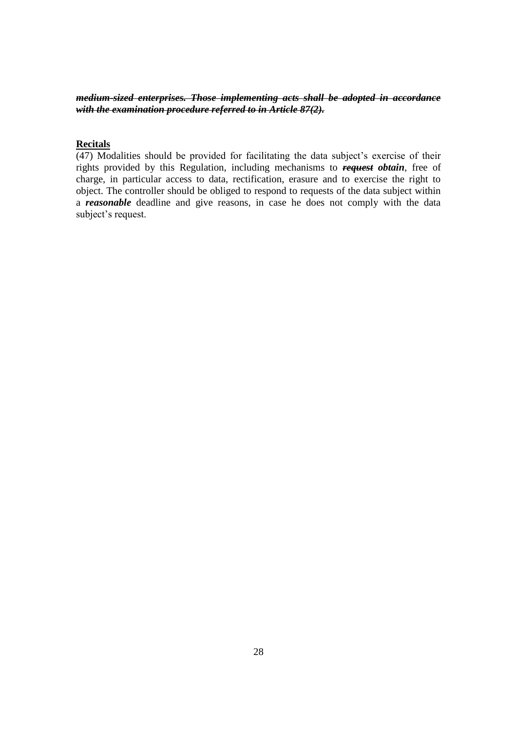#### *medium-sized enterprises. Those implementing acts shall be adopted in accordance with the examination procedure referred to in Article 87(2).*

#### **Recitals**

(47) Modalities should be provided for facilitating the data subject's exercise of their rights provided by this Regulation, including mechanisms to *request obtain*, free of charge, in particular access to data, rectification, erasure and to exercise the right to object. The controller should be obliged to respond to requests of the data subject within a *reasonable* deadline and give reasons, in case he does not comply with the data subject's request.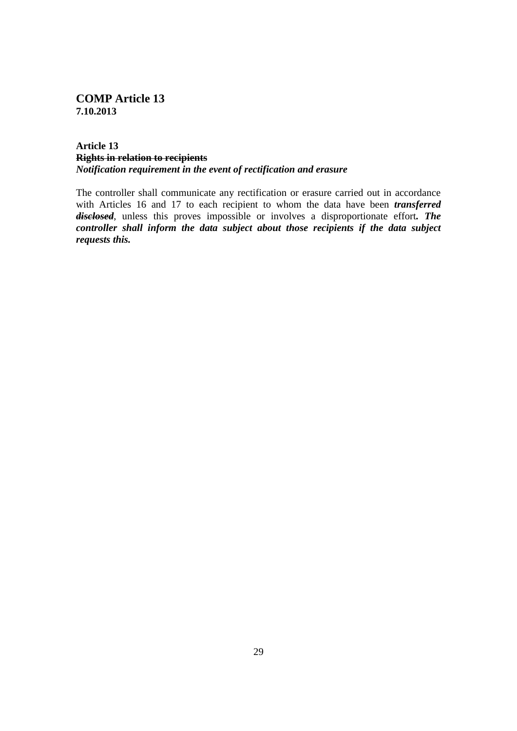## **COMP Article 13 7.10.2013**

## **Article 13 Rights in relation to recipients** *Notification requirement in the event of rectification and erasure*

The controller shall communicate any rectification or erasure carried out in accordance with Articles 16 and 17 to each recipient to whom the data have been *transferred disclosed*, unless this proves impossible or involves a disproportionate effort*. The controller shall inform the data subject about those recipients if the data subject requests this.*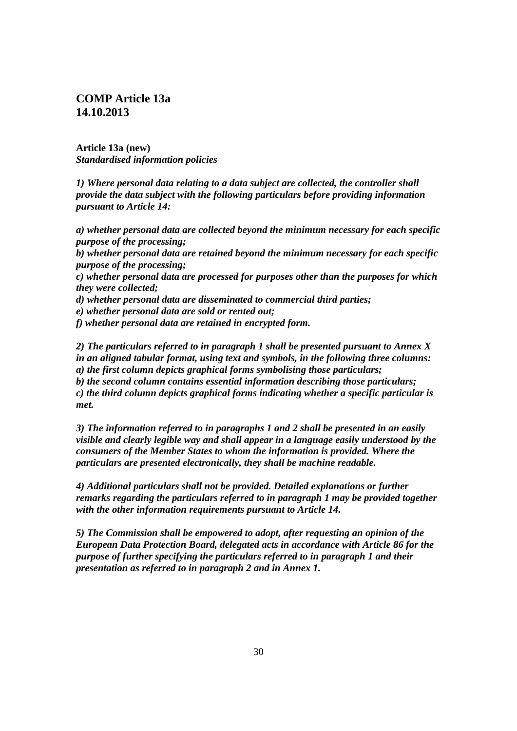## **COMP Article 13a 14.10.2013**

**Article 13a (new)** *Standardised information policies*

*1) Where personal data relating to a data subject are collected, the controller shall provide the data subject with the following particulars before providing information pursuant to Article 14:*

*a) whether personal data are collected beyond the minimum necessary for each specific purpose of the processing;*

*b) whether personal data are retained beyond the minimum necessary for each specific purpose of the processing;*

*c) whether personal data are processed for purposes other than the purposes for which they were collected;*

*d) whether personal data are disseminated to commercial third parties;*

*e) whether personal data are sold or rented out;*

*f) whether personal data are retained in encrypted form.*

*2) The particulars referred to in paragraph 1 shall be presented pursuant to Annex X in an aligned tabular format, using text and symbols, in the following three columns: a) the first column depicts graphical forms symbolising those particulars;*

*b) the second column contains essential information describing those particulars;*

*c) the third column depicts graphical forms indicating whether a specific particular is met.*

*3) The information referred to in paragraphs 1 and 2 shall be presented in an easily visible and clearly legible way and shall appear in a language easily understood by the consumers of the Member States to whom the information is provided. Where the particulars are presented electronically, they shall be machine readable.*

*4) Additional particulars shall not be provided. Detailed explanations or further remarks regarding the particulars referred to in paragraph 1 may be provided together with the other information requirements pursuant to Article 14.* 

*5) The Commission shall be empowered to adopt, after requesting an opinion of the European Data Protection Board, delegated acts in accordance with Article 86 for the purpose of further specifying the particulars referred to in paragraph 1 and their presentation as referred to in paragraph 2 and in Annex 1.*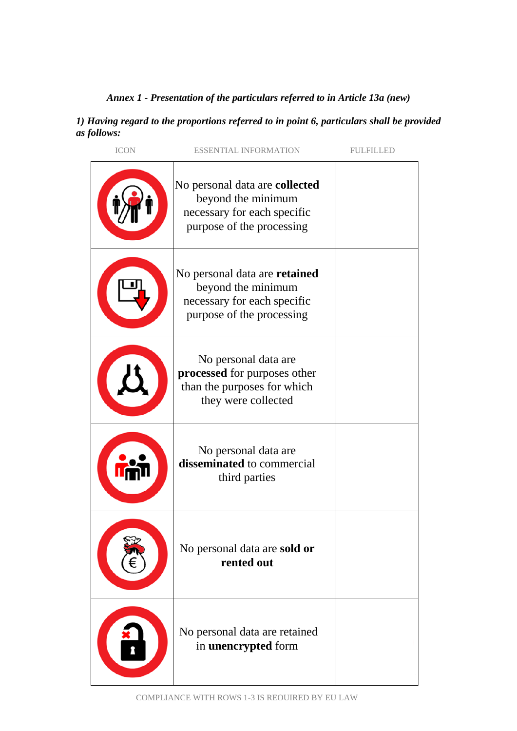# *Annex 1 - Presentation of the particulars referred to in Article 13a (new)*

## *1) Having regard to the proportions referred to in point 6, particulars shall be provided as follows:*

| <b>ICON</b> | <b>ESSENTIAL INFORMATION</b>                                                                                     | <b>FULFILLED</b> |
|-------------|------------------------------------------------------------------------------------------------------------------|------------------|
|             | No personal data are collected<br>beyond the minimum<br>necessary for each specific<br>purpose of the processing |                  |
|             | No personal data are retained<br>beyond the minimum<br>necessary for each specific<br>purpose of the processing  |                  |
|             | No personal data are<br>processed for purposes other<br>than the purposes for which<br>they were collected       |                  |
|             | No personal data are<br>disseminated to commercial<br>third parties                                              |                  |
|             | No personal data are sold or<br>rented out                                                                       |                  |
|             | No personal data are retained<br>in <b>unencrypted</b> form                                                      |                  |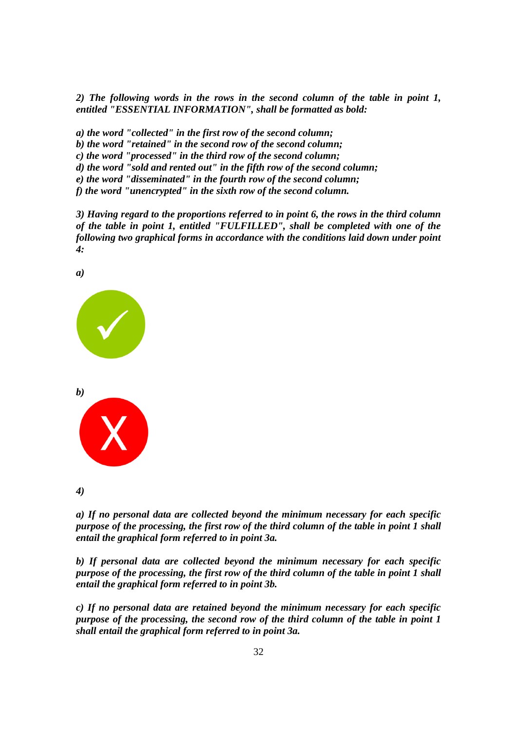*2) The following words in the rows in the second column of the table in point 1, entitled "ESSENTIAL INFORMATION", shall be formatted as bold:*

*a) the word "collected" in the first row of the second column;*

*b) the word "retained" in the second row of the second column;*

*c) the word "processed" in the third row of the second column;*

*d) the word "sold and rented out" in the fifth row of the second column;*

*e) the word "disseminated" in the fourth row of the second column;*

*f) the word "unencrypted" in the sixth row of the second column.*

*3) Having regard to the proportions referred to in point 6, the rows in the third column of the table in point 1, entitled "FULFILLED", shall be completed with one of the following two graphical forms in accordance with the conditions laid down under point 4:*

*a)*





*4)* 

*a) If no personal data are collected beyond the minimum necessary for each specific purpose of the processing, the first row of the third column of the table in point 1 shall entail the graphical form referred to in point 3a.*

*b) If personal data are collected beyond the minimum necessary for each specific purpose of the processing, the first row of the third column of the table in point 1 shall entail the graphical form referred to in point 3b.*

*c) If no personal data are retained beyond the minimum necessary for each specific purpose of the processing, the second row of the third column of the table in point 1 shall entail the graphical form referred to in point 3a.*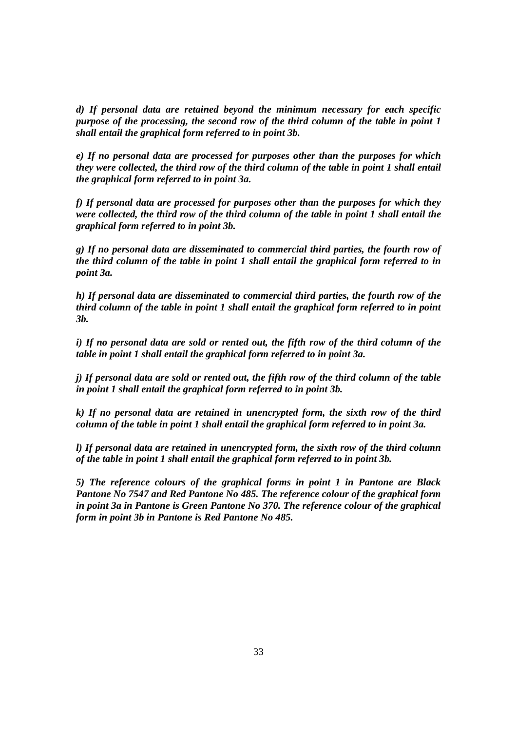*d) If personal data are retained beyond the minimum necessary for each specific purpose of the processing, the second row of the third column of the table in point 1 shall entail the graphical form referred to in point 3b.*

*e) If no personal data are processed for purposes other than the purposes for which they were collected, the third row of the third column of the table in point 1 shall entail the graphical form referred to in point 3a.*

*f) If personal data are processed for purposes other than the purposes for which they were collected, the third row of the third column of the table in point 1 shall entail the graphical form referred to in point 3b.*

*g) If no personal data are disseminated to commercial third parties, the fourth row of the third column of the table in point 1 shall entail the graphical form referred to in point 3a.*

*h) If personal data are disseminated to commercial third parties, the fourth row of the third column of the table in point 1 shall entail the graphical form referred to in point 3b.*

*i) If no personal data are sold or rented out, the fifth row of the third column of the table in point 1 shall entail the graphical form referred to in point 3a.*

*j) If personal data are sold or rented out, the fifth row of the third column of the table in point 1 shall entail the graphical form referred to in point 3b.*

*k) If no personal data are retained in unencrypted form, the sixth row of the third column of the table in point 1 shall entail the graphical form referred to in point 3a.*

*l) If personal data are retained in unencrypted form, the sixth row of the third column of the table in point 1 shall entail the graphical form referred to in point 3b.*

*5) The reference colours of the graphical forms in point 1 in Pantone are Black Pantone No 7547 and Red Pantone No 485. The reference colour of the graphical form in point 3a in Pantone is Green Pantone No 370. The reference colour of the graphical form in point 3b in Pantone is Red Pantone No 485.*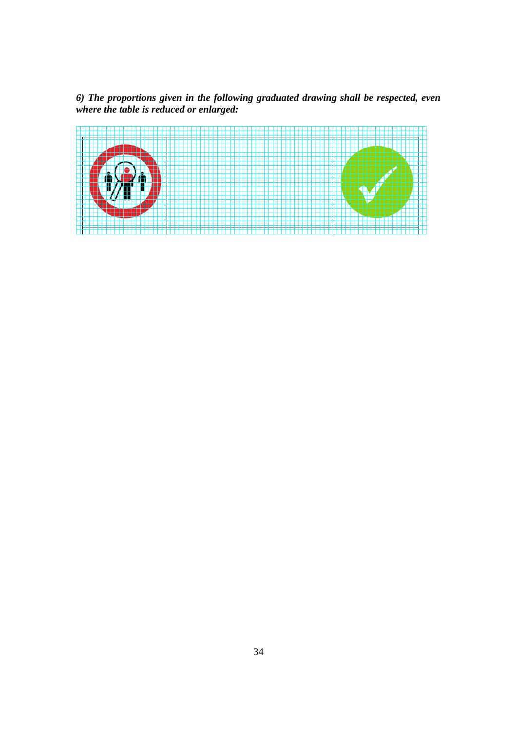*6) The proportions given in the following graduated drawing shall be respected, even where the table is reduced or enlarged:*

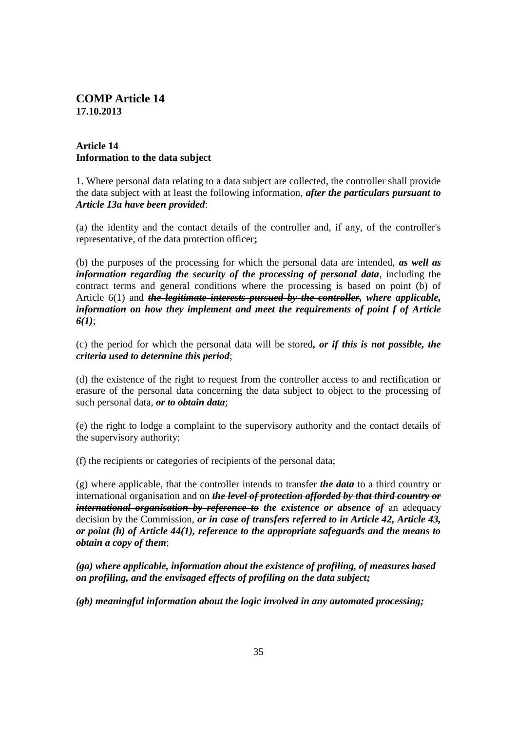## **COMP Article 14 17.10.2013**

## **Article 14 Information to the data subject**

1. Where personal data relating to a data subject are collected, the controller shall provide the data subject with at least the following information, *after the particulars pursuant to Article 13a have been provided*:

(a) the identity and the contact details of the controller and, if any, of the controller's representative, of the data protection officer**;**

(b) the purposes of the processing for which the personal data are intended, *as well as information regarding the security of the processing of personal data*, including the contract terms and general conditions where the processing is based on point (b) of Article 6(1) and *the legitimate interests pursued by the controller, where applicable, information on how they implement and meet the requirements of point f of Article 6(1)*;

(c) the period for which the personal data will be stored*, or if this is not possible, the criteria used to determine this period*;

(d) the existence of the right to request from the controller access to and rectification or erasure of the personal data concerning the data subject to object to the processing of such personal data, *or to obtain data*;

(e) the right to lodge a complaint to the supervisory authority and the contact details of the supervisory authority;

(f) the recipients or categories of recipients of the personal data;

(g) where applicable, that the controller intends to transfer *the data* to a third country or international organisation and on *the level of protection afforded by that third country or international organisation by reference to the existence or absence of* an adequacy decision by the Commission, *or in case of transfers referred to in Article 42, Article 43, or point (h) of Article 44(1), reference to the appropriate safeguards and the means to obtain a copy of them*;

*(ga) where applicable, information about the existence of profiling, of measures based on profiling, and the envisaged effects of profiling on the data subject;*

*(gb) meaningful information about the logic involved in any automated processing;*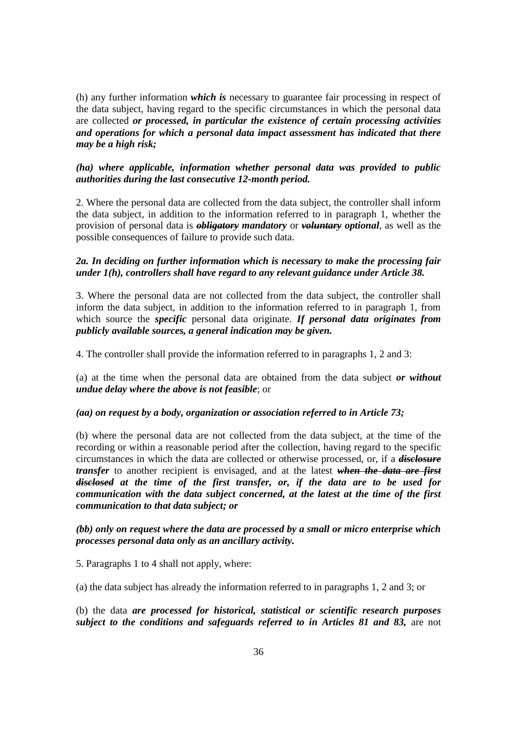(h) any further information *which is* necessary to guarantee fair processing in respect of the data subject, having regard to the specific circumstances in which the personal data are collected *or processed, in particular the existence of certain processing activities and operations for which a personal data impact assessment has indicated that there may be a high risk;*

#### *(ha) where applicable, information whether personal data was provided to public authorities during the last consecutive 12-month period.*

2. Where the personal data are collected from the data subject, the controller shall inform the data subject, in addition to the information referred to in paragraph 1, whether the provision of personal data is *obligatory mandatory* or *voluntary optional*, as well as the possible consequences of failure to provide such data.

#### *2a. In deciding on further information which is necessary to make the processing fair under 1(h), controllers shall have regard to any relevant guidance under Article 38.*

3. Where the personal data are not collected from the data subject, the controller shall inform the data subject, in addition to the information referred to in paragraph 1, from which source the *specific* personal data originate. *If personal data originates from publicly available sources, a general indication may be given.*

4. The controller shall provide the information referred to in paragraphs 1, 2 and 3:

(a) at the time when the personal data are obtained from the data subject *or without undue delay where the above is not feasible*; or

#### *(aa) on request by a body, organization or association referred to in Article 73;*

(b) where the personal data are not collected from the data subject, at the time of the recording or within a reasonable period after the collection, having regard to the specific circumstances in which the data are collected or otherwise processed, or, if a *disclosure transfer* to another recipient is envisaged, and at the latest *when the data are first disclosed at the time of the first transfer, or, if the data are to be used for communication with the data subject concerned, at the latest at the time of the first communication to that data subject; or*

#### *(bb) only on request where the data are processed by a small or micro enterprise which processes personal data only as an ancillary activity.*

5. Paragraphs 1 to 4 shall not apply, where:

(a) the data subject has already the information referred to in paragraphs 1, 2 and 3; or

(b) the data *are processed for historical, statistical or scientific research purposes subject to the conditions and safeguards referred to in Articles 81 and 83,* are not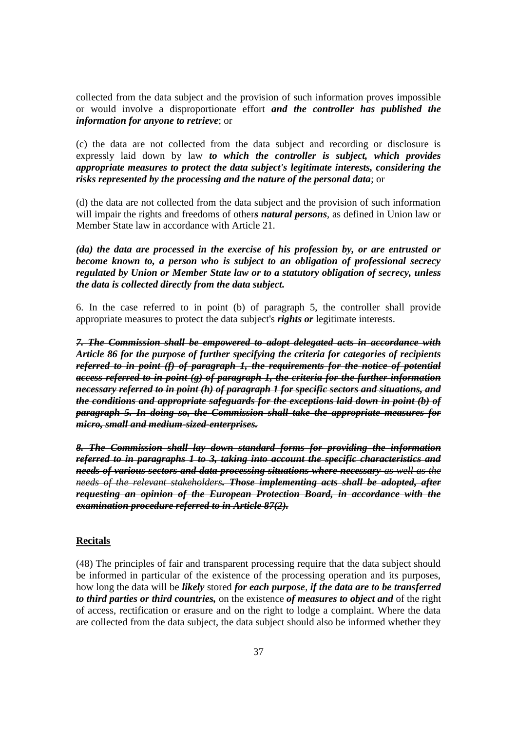collected from the data subject and the provision of such information proves impossible or would involve a disproportionate effort *and the controller has published the information for anyone to retrieve*; or

(c) the data are not collected from the data subject and recording or disclosure is expressly laid down by law *to which the controller is subject, which provides appropriate measures to protect the data subject's legitimate interests, considering the risks represented by the processing and the nature of the personal data*; or

(d) the data are not collected from the data subject and the provision of such information will impair the rights and freedoms of other*s natural persons*, as defined in Union law or Member State law in accordance with Article 21.

*(da) the data are processed in the exercise of his profession by, or are entrusted or become known to, a person who is subject to an obligation of professional secrecy regulated by Union or Member State law or to a statutory obligation of secrecy, unless the data is collected directly from the data subject.*

6. In the case referred to in point (b) of paragraph 5, the controller shall provide appropriate measures to protect the data subject's *rights or* legitimate interests.

*7. The Commission shall be empowered to adopt delegated acts in accordance with Article 86 for the purpose of further specifying the criteria for categories of recipients referred to in point (f) of paragraph 1, the requirements for the notice of potential access referred to in point (g) of paragraph 1, the criteria for the further information necessary referred to in point (h) of paragraph 1 for specific sectors and situations, and the conditions and appropriate safeguards for the exceptions laid down in point (b) of paragraph 5. In doing so, the Commission shall take the appropriate measures for micro, small and medium-sized-enterprises.*

*8. The Commission shall lay down standard forms for providing the information referred to in paragraphs 1 to 3, taking into account the specific characteristics and needs of various sectors and data processing situations where necessary as well as the needs of the relevant stakeholders. Those implementing acts shall be adopted, after requesting an opinion of the European Protection Board, in accordance with the examination procedure referred to in Article 87(2).*

#### **Recitals**

(48) The principles of fair and transparent processing require that the data subject should be informed in particular of the existence of the processing operation and its purposes, how long the data will be *likely* stored *for each purpose*, *if the data are to be transferred to third parties or third countries,* on the existence *of measures to object and* of the right of access, rectification or erasure and on the right to lodge a complaint. Where the data are collected from the data subject, the data subject should also be informed whether they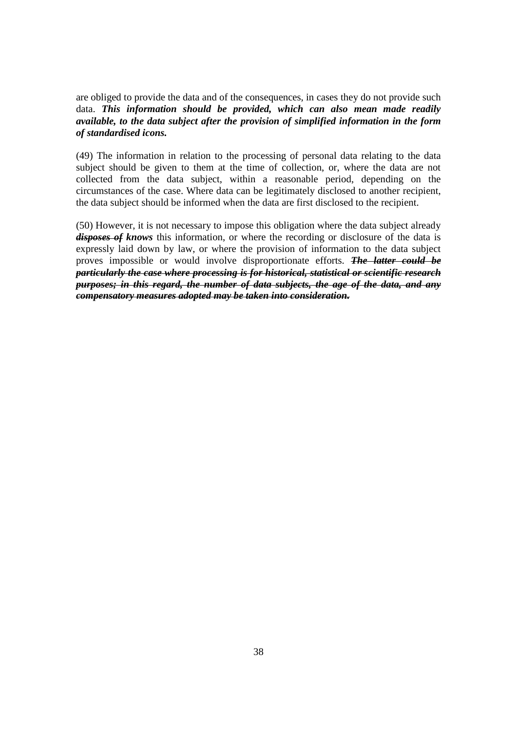are obliged to provide the data and of the consequences, in cases they do not provide such data. *This information should be provided, which can also mean made readily available, to the data subject after the provision of simplified information in the form of standardised icons.* 

(49) The information in relation to the processing of personal data relating to the data subject should be given to them at the time of collection, or, where the data are not collected from the data subject, within a reasonable period, depending on the circumstances of the case. Where data can be legitimately disclosed to another recipient, the data subject should be informed when the data are first disclosed to the recipient.

(50) However, it is not necessary to impose this obligation where the data subject already *disposes of knows* this information, or where the recording or disclosure of the data is expressly laid down by law, or where the provision of information to the data subject proves impossible or would involve disproportionate efforts. *The latter could be particularly the case where processing is for historical, statistical or scientific research purposes; in this regard, the number of data subjects, the age of the data, and any compensatory measures adopted may be taken into consideration.*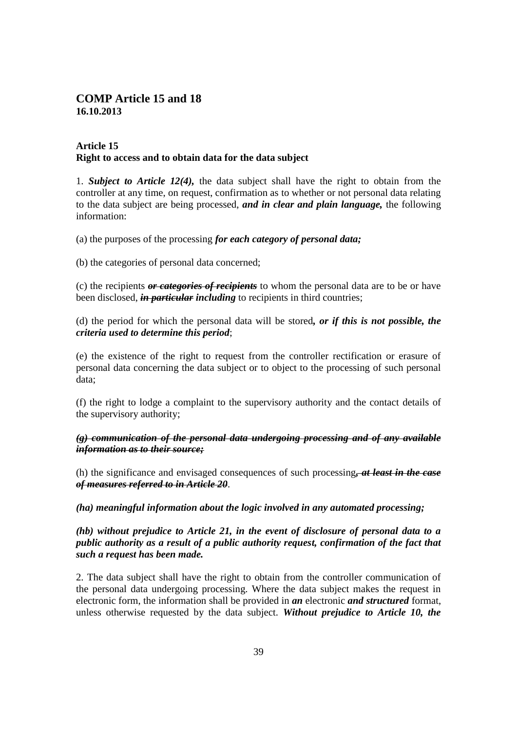## **COMP Article 15 and 18 16.10.2013**

## **Article 15 Right to access and to obtain data for the data subject**

1. *Subject to Article 12(4),* the data subject shall have the right to obtain from the controller at any time, on request, confirmation as to whether or not personal data relating to the data subject are being processed, *and in clear and plain language,* the following information:

(a) the purposes of the processing *for each category of personal data;*

(b) the categories of personal data concerned;

(c) the recipients *or categories of recipients* to whom the personal data are to be or have been disclosed, *in particular including* to recipients in third countries;

(d) the period for which the personal data will be stored*, or if this is not possible, the criteria used to determine this period*;

(e) the existence of the right to request from the controller rectification or erasure of personal data concerning the data subject or to object to the processing of such personal data;

(f) the right to lodge a complaint to the supervisory authority and the contact details of the supervisory authority;

## *(g) communication of the personal data undergoing processing and of any available information as to their source;*

(h) the significance and envisaged consequences of such processing*, at least in the case of measures referred to in Article 20*.

*(ha) meaningful information about the logic involved in any automated processing;*

*(hb) without prejudice to Article 21, in the event of disclosure of personal data to a public authority as a result of a public authority request, confirmation of the fact that such a request has been made.*

2. The data subject shall have the right to obtain from the controller communication of the personal data undergoing processing. Where the data subject makes the request in electronic form, the information shall be provided in *an* electronic *and structured* format, unless otherwise requested by the data subject. *Without prejudice to Article 10, the*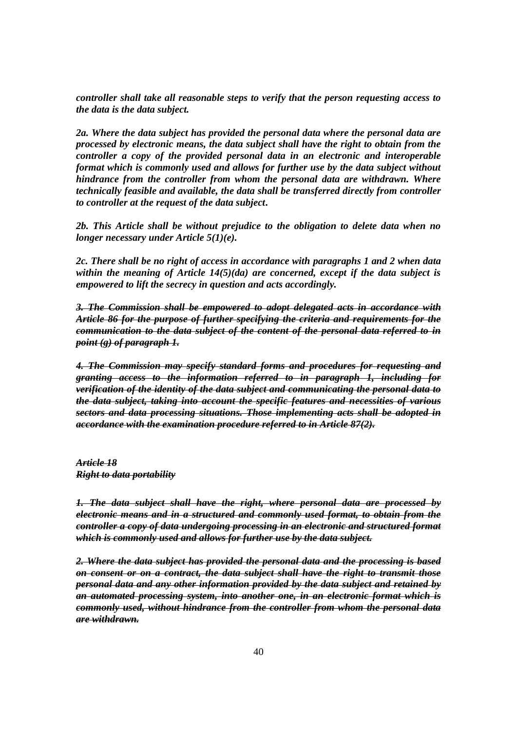*controller shall take all reasonable steps to verify that the person requesting access to the data is the data subject.*

*2a. Where the data subject has provided the personal data where the personal data are processed by electronic means, the data subject shall have the right to obtain from the controller a copy of the provided personal data in an electronic and interoperable format which is commonly used and allows for further use by the data subject without hindrance from the controller from whom the personal data are withdrawn. Where technically feasible and available, the data shall be transferred directly from controller to controller at the request of the data subject***.**

*2b. This Article shall be without prejudice to the obligation to delete data when no longer necessary under Article 5(1)(e).*

*2c. There shall be no right of access in accordance with paragraphs 1 and 2 when data within the meaning of Article 14(5)(da) are concerned, except if the data subject is empowered to lift the secrecy in question and acts accordingly.*

*3. The Commission shall be empowered to adopt delegated acts in accordance with Article 86 for the purpose of further specifying the criteria and requirements for the communication to the data subject of the content of the personal data referred to in point (g) of paragraph 1.*

*4. The Commission may specify standard forms and procedures for requesting and granting access to the information referred to in paragraph 1, including for verification of the identity of the data subject and communicating the personal data to the data subject, taking into account the specific features and necessities of various sectors and data processing situations. Those implementing acts shall be adopted in accordance with the examination procedure referred to in Article 87(2).*

*Article 18 Right to data portability*

*1. The data subject shall have the right, where personal data are processed by electronic means and in a structured and commonly used format, to obtain from the controller a copy of data undergoing processing in an electronic and structured format which is commonly used and allows for further use by the data subject.*

*2. Where the data subject has provided the personal data and the processing is based on consent or on a contract, the data subject shall have the right to transmit those personal data and any other information provided by the data subject and retained by an automated processing system, into another one, in an electronic format which is commonly used, without hindrance from the controller from whom the personal data are withdrawn.*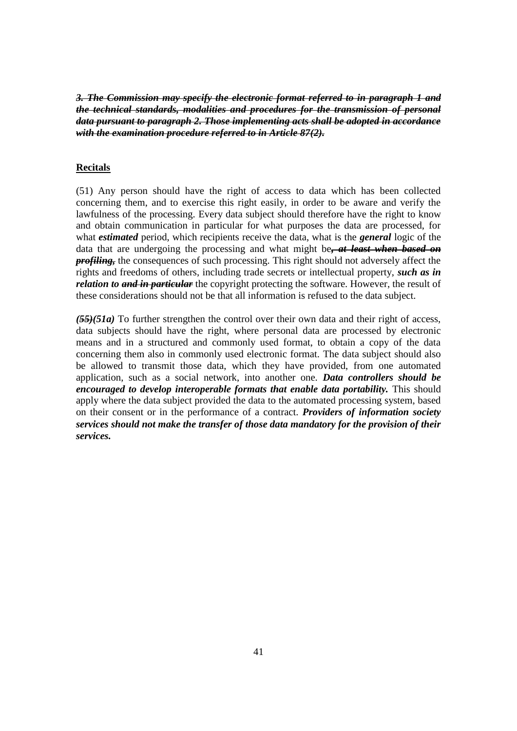*3. The Commission may specify the electronic format referred to in paragraph 1 and the technical standards, modalities and procedures for the transmission of personal data pursuant to paragraph 2. Those implementing acts shall be adopted in accordance with the examination procedure referred to in Article 87(2).*

#### **Recitals**

(51) Any person should have the right of access to data which has been collected concerning them, and to exercise this right easily, in order to be aware and verify the lawfulness of the processing. Every data subject should therefore have the right to know and obtain communication in particular for what purposes the data are processed, for what *estimated* period, which recipients receive the data, what is the *general* logic of the data that are undergoing the processing and what might be*, at least when based on profiling,* the consequences of such processing. This right should not adversely affect the rights and freedoms of others, including trade secrets or intellectual property, *such as in relation to and in particular* the copyright protecting the software. However, the result of these considerations should not be that all information is refused to the data subject.

*(55)(51a)* To further strengthen the control over their own data and their right of access, data subjects should have the right, where personal data are processed by electronic means and in a structured and commonly used format, to obtain a copy of the data concerning them also in commonly used electronic format. The data subject should also be allowed to transmit those data, which they have provided, from one automated application, such as a social network, into another one. *Data controllers should be encouraged to develop interoperable formats that enable data portability.* This should apply where the data subject provided the data to the automated processing system, based on their consent or in the performance of a contract. *Providers of information society services should not make the transfer of those data mandatory for the provision of their services.*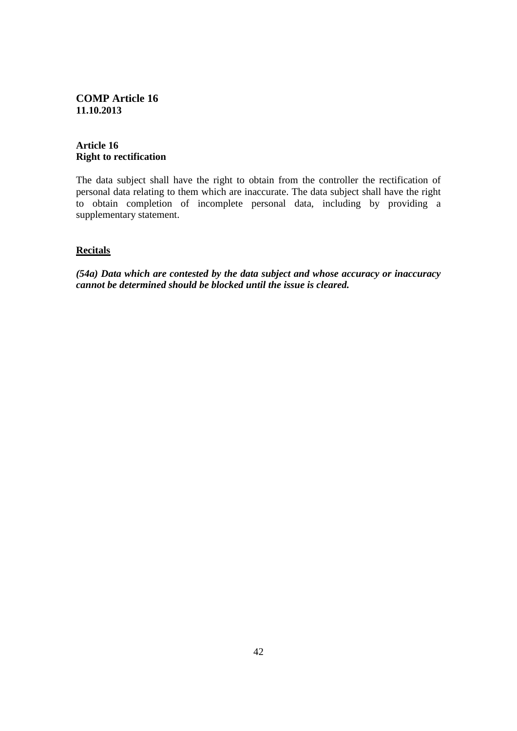## **COMP Article 16 11.10.2013**

## **Article 16 Right to rectification**

The data subject shall have the right to obtain from the controller the rectification of personal data relating to them which are inaccurate. The data subject shall have the right to obtain completion of incomplete personal data, including by providing a supplementary statement.

## **Recitals**

*(54a) Data which are contested by the data subject and whose accuracy or inaccuracy cannot be determined should be blocked until the issue is cleared.*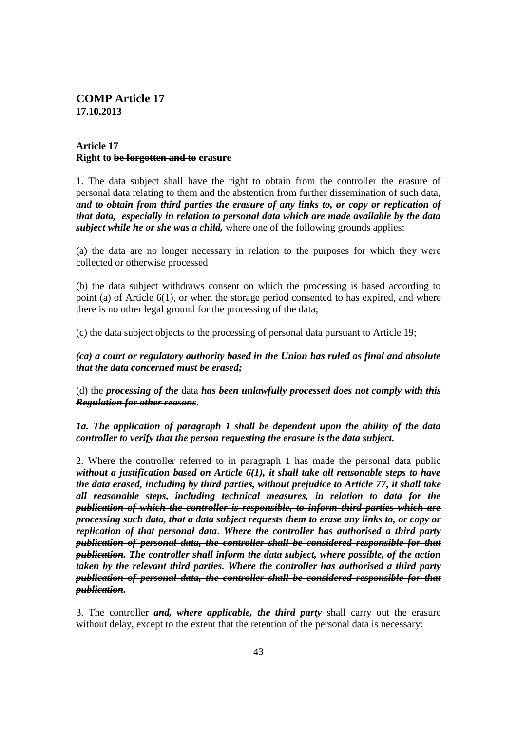## **COMP Article 17 17.10.2013**

### **Article 17 Right to be forgotten and to erasure**

1. The data subject shall have the right to obtain from the controller the erasure of personal data relating to them and the abstention from further dissemination of such data, *and to obtain from third parties the erasure of any links to, or copy or replication of that data, especially in relation to personal data which are made available by the data subject while he or she was a child*, where one of the following grounds applies:

(a) the data are no longer necessary in relation to the purposes for which they were collected or otherwise processed

(b) the data subject withdraws consent on which the processing is based according to point (a) of Article 6(1), or when the storage period consented to has expired, and where there is no other legal ground for the processing of the data;

(c) the data subject objects to the processing of personal data pursuant to Article 19;

*(ca) a court or regulatory authority based in the Union has ruled as final and absolute that the data concerned must be erased;*

(d) the *processing of the* data *has been unlawfully processed does not comply with this Regulation for other reasons*.

*1a. The application of paragraph 1 shall be dependent upon the ability of the data controller to verify that the person requesting the erasure is the data subject.*

2. Where the controller referred to in paragraph 1 has made the personal data public *without a justification based on Article 6(1), it shall take all reasonable steps to have the data erased, including by third parties, without prejudice to Article 77, it shall take all reasonable steps, including technical measures, in relation to data for the publication of which the controller is responsible, to inform third parties which are processing such data, that a data subject requests them to erase any links to, or copy or replication of that personal data*. *Where the controller has authorised a third party publication of personal data, the controller shall be considered responsible for that publication. The controller shall inform the data subject, where possible, of the action taken by the relevant third parties. Where the controller has authorised a third party publication of personal data, the controller shall be considered responsible for that publication.*

3. The controller *and, where applicable, the third party* shall carry out the erasure without delay, except to the extent that the retention of the personal data is necessary: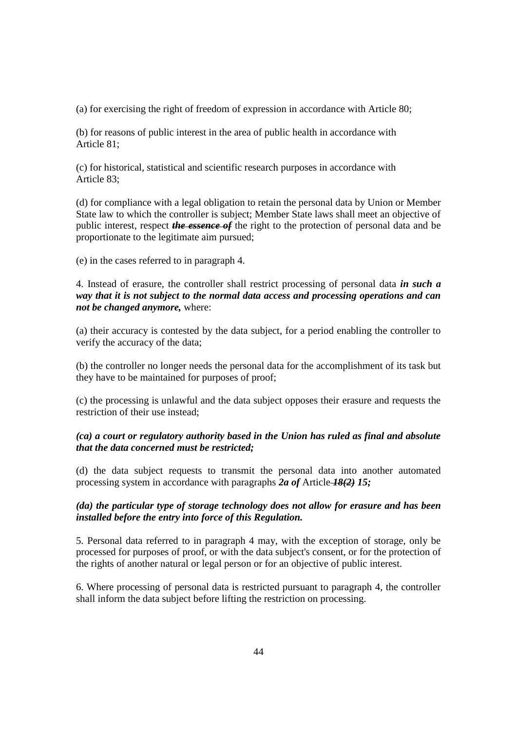(a) for exercising the right of freedom of expression in accordance with Article 80;

(b) for reasons of public interest in the area of public health in accordance with Article 81;

(c) for historical, statistical and scientific research purposes in accordance with Article 83;

(d) for compliance with a legal obligation to retain the personal data by Union or Member State law to which the controller is subject; Member State laws shall meet an objective of public interest, respect *the essence of* the right to the protection of personal data and be proportionate to the legitimate aim pursued;

(e) in the cases referred to in paragraph 4.

4. Instead of erasure, the controller shall restrict processing of personal data *in such a way that it is not subject to the normal data access and processing operations and can not be changed anymore,* where:

(a) their accuracy is contested by the data subject, for a period enabling the controller to verify the accuracy of the data;

(b) the controller no longer needs the personal data for the accomplishment of its task but they have to be maintained for purposes of proof;

(c) the processing is unlawful and the data subject opposes their erasure and requests the restriction of their use instead;

## *(ca) a court or regulatory authority based in the Union has ruled as final and absolute that the data concerned must be restricted;*

(d) the data subject requests to transmit the personal data into another automated processing system in accordance with paragraphs *2a of* Article *18(2) 15;*

### *(da) the particular type of storage technology does not allow for erasure and has been installed before the entry into force of this Regulation.*

5. Personal data referred to in paragraph 4 may, with the exception of storage, only be processed for purposes of proof, or with the data subject's consent, or for the protection of the rights of another natural or legal person or for an objective of public interest.

6. Where processing of personal data is restricted pursuant to paragraph 4, the controller shall inform the data subject before lifting the restriction on processing.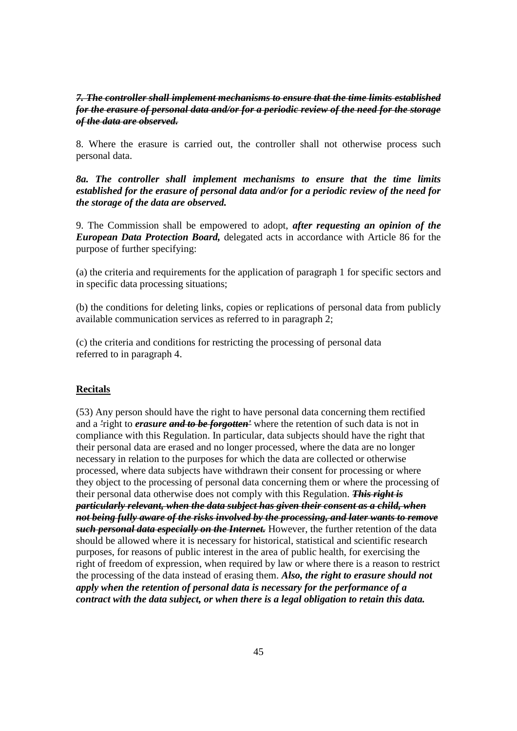*7. The controller shall implement mechanisms to ensure that the time limits established for the erasure of personal data and/or for a periodic review of the need for the storage of the data are observed.*

8. Where the erasure is carried out, the controller shall not otherwise process such personal data.

*8a. The controller shall implement mechanisms to ensure that the time limits established for the erasure of personal data and/or for a periodic review of the need for the storage of the data are observed.*

9. The Commission shall be empowered to adopt, *after requesting an opinion of the European Data Protection Board,* delegated acts in accordance with Article 86 for the purpose of further specifying:

(a) the criteria and requirements for the application of paragraph 1 for specific sectors and in specific data processing situations;

(b) the conditions for deleting links, copies or replications of personal data from publicly available communication services as referred to in paragraph 2;

(c) the criteria and conditions for restricting the processing of personal data referred to in paragraph 4.

#### **Recitals**

(53) Any person should have the right to have personal data concerning them rectified and a *'*right to *erasure and to be forgotten'* where the retention of such data is not in compliance with this Regulation. In particular, data subjects should have the right that their personal data are erased and no longer processed, where the data are no longer necessary in relation to the purposes for which the data are collected or otherwise processed, where data subjects have withdrawn their consent for processing or where they object to the processing of personal data concerning them or where the processing of their personal data otherwise does not comply with this Regulation. *This right is particularly relevant, when the data subject has given their consent as a child, when not being fully aware of the risks involved by the processing, and later wants to remove such personal data especially on the Internet.* However, the further retention of the data should be allowed where it is necessary for historical, statistical and scientific research purposes, for reasons of public interest in the area of public health, for exercising the right of freedom of expression, when required by law or where there is a reason to restrict the processing of the data instead of erasing them. *Also, the right to erasure should not apply when the retention of personal data is necessary for the performance of a contract with the data subject, or when there is a legal obligation to retain this data.*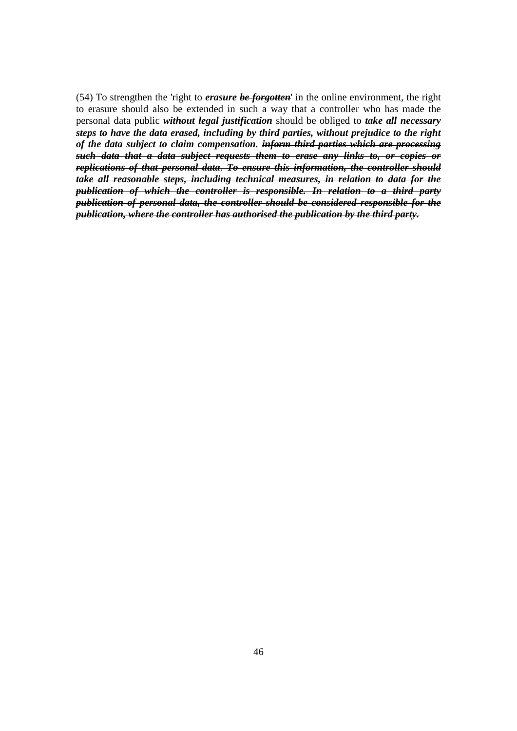(54) To strengthen the 'right to *erasure be forgotten*' in the online environment, the right to erasure should also be extended in such a way that a controller who has made the personal data public *without legal justification* should be obliged to *take all necessary steps to have the data erased, including by third parties, without prejudice to the right of the data subject to claim compensation. inform third parties which are processing such data that a data subject requests them to erase any links to, or copies or replications of that personal data*. *To ensure this information, the controller should take all reasonable steps, including technical measures, in relation to data for the publication of which the controller is responsible. In relation to a third party publication of personal data, the controller should be considered responsible for the publication, where the controller has authorised the publication by the third party.*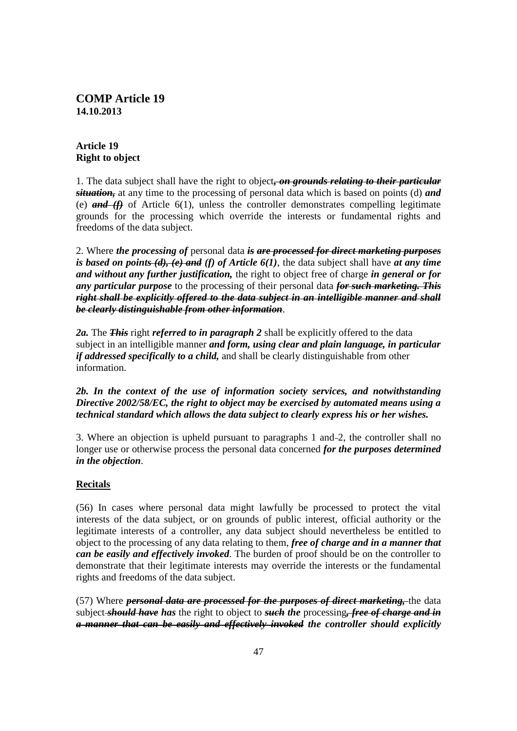## **COMP Article 19 14.10.2013**

## **Article 19 Right to object**

1. The data subject shall have the right to object*, on grounds relating to their particular situation,* at any time to the processing of personal data which is based on points (d) *and*  (e) *and (f)* of Article 6(1), unless the controller demonstrates compelling legitimate grounds for the processing which override the interests or fundamental rights and freedoms of the data subject.

2. Where *the processing of* personal data *is are processed for direct marketing purposes is based on points (d), (e) and (f) of Article 6(1)*, the data subject shall have *at any time and without any further justification,* the right to object free of charge *in general or for any particular purpose* to the processing of their personal data *for such marketing. This right shall be explicitly offered to the data subject in an intelligible manner and shall be clearly distinguishable from other information*.

*2a.* The *This* right *referred to in paragraph 2* shall be explicitly offered to the data subject in an intelligible manner *and form, using clear and plain language, in particular if addressed specifically to a child,* and shall be clearly distinguishable from other information.

*2b. In the context of the use of information society services, and notwithstanding Directive 2002/58/EC, the right to object may be exercised by automated means using a technical standard which allows the data subject to clearly express his or her wishes.*

3. Where an objection is upheld pursuant to paragraphs 1 and 2, the controller shall no longer use or otherwise process the personal data concerned *for the purposes determined in the objection*.

## **Recitals**

(56) In cases where personal data might lawfully be processed to protect the vital interests of the data subject, or on grounds of public interest, official authority or the legitimate interests of a controller, any data subject should nevertheless be entitled to object to the processing of any data relating to them, *free of charge and in a manner that can be easily and effectively invoked*. The burden of proof should be on the controller to demonstrate that their legitimate interests may override the interests or the fundamental rights and freedoms of the data subject.

(57) Where *personal data are processed for the purposes of direct marketing,* the data subject *should have has* the right to object to *such the* processing*, free of charge and in a manner that can be easily and effectively invoked the controller should explicitly*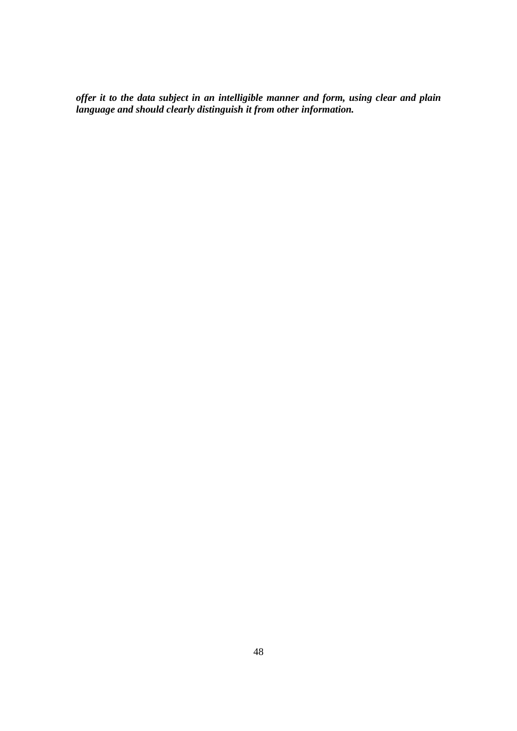*offer it to the data subject in an intelligible manner and form, using clear and plain language and should clearly distinguish it from other information.*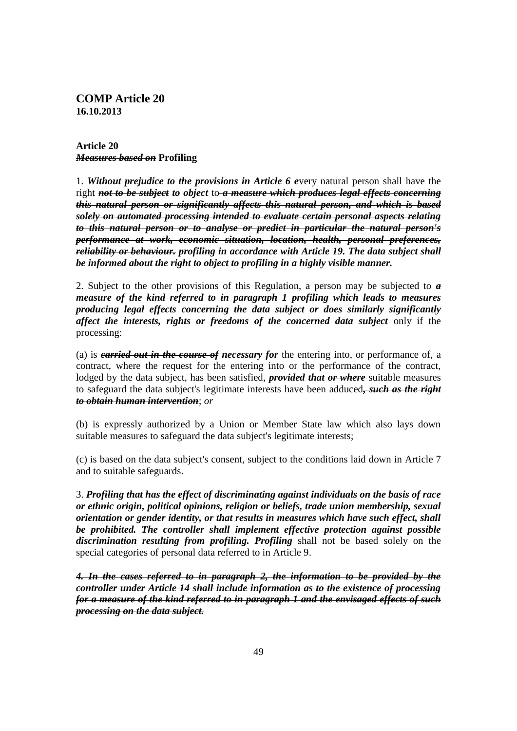**COMP Article 20 16.10.2013**

**Article 20** *Measures based on* **Profiling**

1. *Without prejudice to the provisions in Article 6 e*very natural person shall have the right *not to be subject to object* to *a measure which produces legal effects concerning this natural person or significantly affects this natural person, and which is based solely on automated processing intended to evaluate certain personal aspects relating to this natural person or to analyse or predict in particular the natural person's performance at work, economic situation, location, health, personal preferences, reliability or behaviour. profiling in accordance with Article 19. The data subject shall be informed about the right to object to profiling in a highly visible manner.*

2. Subject to the other provisions of this Regulation, a person may be subjected to *a measure of the kind referred to in paragraph 1 profiling which leads to measures producing legal effects concerning the data subject or does similarly significantly affect the interests, rights or freedoms of the concerned data subject* only if the processing:

(a) is *carried out in the course of necessary for* the entering into, or performance of, a contract, where the request for the entering into or the performance of the contract, lodged by the data subject, has been satisfied*, provided that or where* suitable measures to safeguard the data subject's legitimate interests have been adduced*, such as the right to obtain human intervention*; *or*

(b) is expressly authorized by a Union or Member State law which also lays down suitable measures to safeguard the data subject's legitimate interests;

(c) is based on the data subject's consent, subject to the conditions laid down in Article 7 and to suitable safeguards.

3. *Profiling that has the effect of discriminating against individuals on the basis of race or ethnic origin, political opinions, religion or beliefs, trade union membership, sexual orientation or gender identity, or that results in measures which have such effect, shall be prohibited. The controller shall implement effective protection against possible discrimination resulting from profiling. Profiling* shall not be based solely on the special categories of personal data referred to in Article 9.

*4. In the cases referred to in paragraph 2, the information to be provided by the controller under Article 14 shall include information as to the existence of processing for a measure of the kind referred to in paragraph 1 and the envisaged effects of such processing on the data subject.*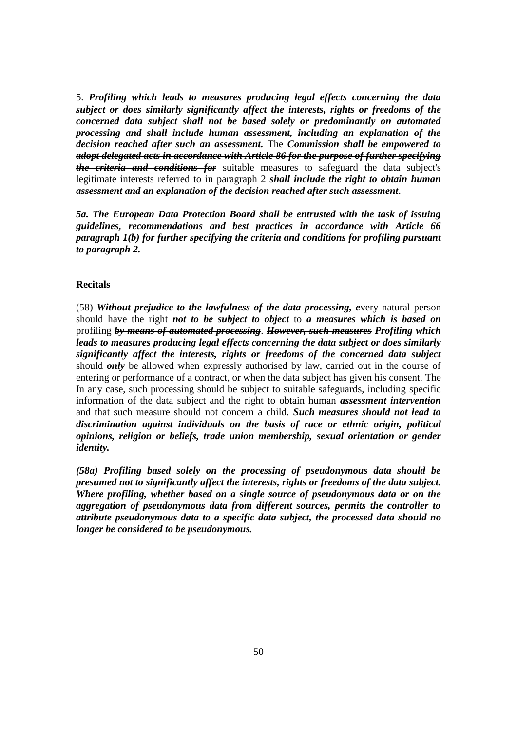5. *Profiling which leads to measures producing legal effects concerning the data subject or does similarly significantly affect the interests, rights or freedoms of the concerned data subject shall not be based solely or predominantly on automated processing and shall include human assessment, including an explanation of the decision reached after such an assessment.* The *Commission shall be empowered to adopt delegated acts in accordance with Article 86 for the purpose of further specifying the criteria and conditions for* suitable measures to safeguard the data subject's legitimate interests referred to in paragraph 2 *shall include the right to obtain human assessment and an explanation of the decision reached after such assessment*.

*5a. The European Data Protection Board shall be entrusted with the task of issuing guidelines, recommendations and best practices in accordance with Article 66 paragraph 1(b) for further specifying the criteria and conditions for profiling pursuant to paragraph 2.*

#### **Recitals**

(58) *Without prejudice to the lawfulness of the data processing, e*very natural person should have the right *not to be subject to object* to *a measures which is based on* profiling *by means of automated processing*. *However, such measures Profiling which leads to measures producing legal effects concerning the data subject or does similarly significantly affect the interests, rights or freedoms of the concerned data subject* should *only* be allowed when expressly authorised by law, carried out in the course of entering or performance of a contract, or when the data subject has given his consent. The In any case, such processing should be subject to suitable safeguards, including specific information of the data subject and the right to obtain human *assessment intervention* and that such measure should not concern a child. *Such measures should not lead to discrimination against individuals on the basis of race or ethnic origin, political opinions, religion or beliefs, trade union membership, sexual orientation or gender identity.*

*(58a) Profiling based solely on the processing of pseudonymous data should be presumed not to significantly affect the interests, rights or freedoms of the data subject. Where profiling, whether based on a single source of pseudonymous data or on the aggregation of pseudonymous data from different sources, permits the controller to attribute pseudonymous data to a specific data subject, the processed data should no longer be considered to be pseudonymous.*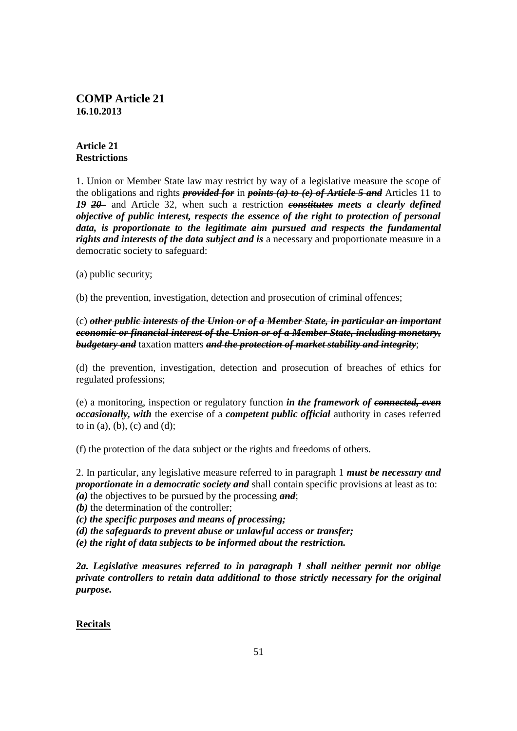**COMP Article 21 16.10.2013**

## **Article 21 Restrictions**

1. Union or Member State law may restrict by way of a legislative measure the scope of the obligations and rights *provided for* in *points (a) to (e) of Article 5 and* Articles 11 to *19 20* and Article 32, when such a restriction *constitutes meets a clearly defined objective of public interest, respects the essence of the right to protection of personal data, is proportionate to the legitimate aim pursued and respects the fundamental rights and interests of the data subject and is* a necessary and proportionate measure in a democratic society to safeguard:

(a) public security;

(b) the prevention, investigation, detection and prosecution of criminal offences;

(c) *other public interests of the Union or of a Member State, in particular an important economic or financial interest of the Union or of a Member State, including monetary, budgetary and* taxation matters *and the protection of market stability and integrity*;

(d) the prevention, investigation, detection and prosecution of breaches of ethics for regulated professions;

(e) a monitoring, inspection or regulatory function *in the framework of connected, even occasionally, with* the exercise of a *competent public official* authority in cases referred to in (a), (b), (c) and (d);

(f) the protection of the data subject or the rights and freedoms of others.

2. In particular, any legislative measure referred to in paragraph 1 *must be necessary and proportionate in a democratic society and* shall contain specific provisions at least as to: *(a)* the objectives to be pursued by the processing *and*;

*(b)* the determination of the controller;

*(c) the specific purposes and means of processing;*

*(d) the safeguards to prevent abuse or unlawful access or transfer;*

*(e) the right of data subjects to be informed about the restriction.*

*2a. Legislative measures referred to in paragraph 1 shall neither permit nor oblige private controllers to retain data additional to those strictly necessary for the original purpose.*

### **Recitals**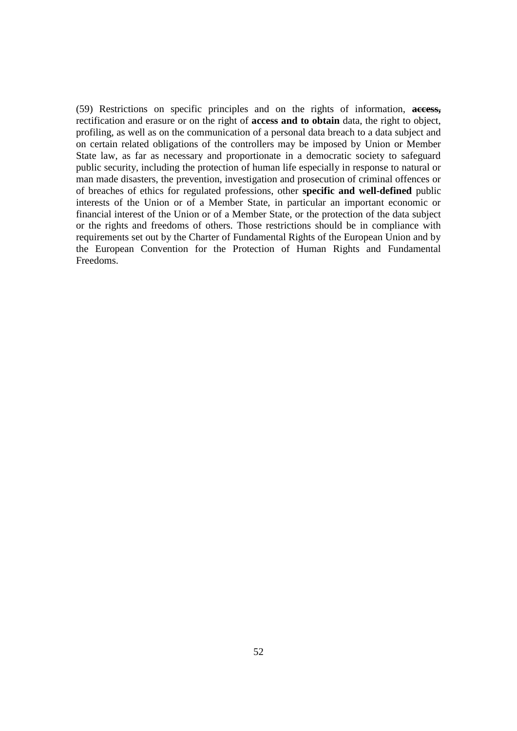(59) Restrictions on specific principles and on the rights of information, **access,** rectification and erasure or on the right of **access and to obtain** data, the right to object, profiling, as well as on the communication of a personal data breach to a data subject and on certain related obligations of the controllers may be imposed by Union or Member State law, as far as necessary and proportionate in a democratic society to safeguard public security, including the protection of human life especially in response to natural or man made disasters, the prevention, investigation and prosecution of criminal offences or of breaches of ethics for regulated professions, other **specific and well-defined** public interests of the Union or of a Member State, in particular an important economic or financial interest of the Union or of a Member State, or the protection of the data subject or the rights and freedoms of others. Those restrictions should be in compliance with requirements set out by the Charter of Fundamental Rights of the European Union and by the European Convention for the Protection of Human Rights and Fundamental Freedoms.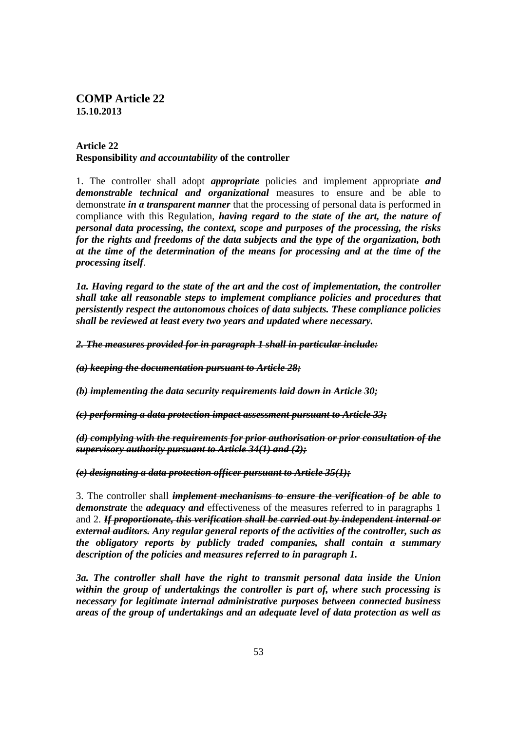## **COMP Article 22 15.10.2013**

### **Article 22 Responsibility** *and accountability* **of the controller**

1. The controller shall adopt *appropriate* policies and implement appropriate *and demonstrable technical and organizational* measures to ensure and be able to demonstrate *in a transparent manner* that the processing of personal data is performed in compliance with this Regulation, *having regard to the state of the art, the nature of personal data processing, the context, scope and purposes of the processing, the risks for the rights and freedoms of the data subjects and the type of the organization, both at the time of the determination of the means for processing and at the time of the processing itself*.

*1a. Having regard to the state of the art and the cost of implementation, the controller shall take all reasonable steps to implement compliance policies and procedures that persistently respect the autonomous choices of data subjects. These compliance policies shall be reviewed at least every two years and updated where necessary.*

*2. The measures provided for in paragraph 1 shall in particular include:*

*(a) keeping the documentation pursuant to Article 28;*

*(b) implementing the data security requirements laid down in Article 30;* 

*(c) performing a data protection impact assessment pursuant to Article 33;*

*(d) complying with the requirements for prior authorisation or prior consultation of the supervisory authority pursuant to Article 34(1) and (2);*

*(e) designating a data protection officer pursuant to Article 35(1);*

3. The controller shall *implement mechanisms to ensure the verification of be able to demonstrate* the *adequacy and* effectiveness of the measures referred to in paragraphs 1 and 2. *If proportionate, this verification shall be carried out by independent internal or external auditors. Any regular general reports of the activities of the controller, such as the obligatory reports by publicly traded companies, shall contain a summary description of the policies and measures referred to in paragraph 1.*

*3a. The controller shall have the right to transmit personal data inside the Union within the group of undertakings the controller is part of, where such processing is necessary for legitimate internal administrative purposes between connected business areas of the group of undertakings and an adequate level of data protection as well as*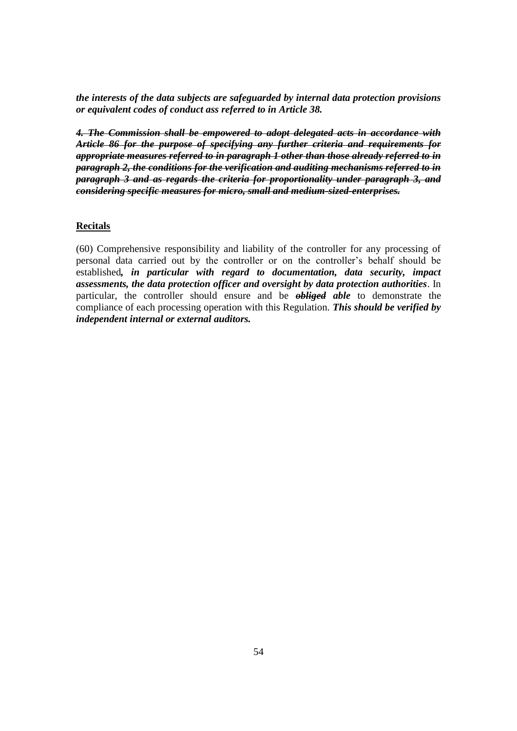*the interests of the data subjects are safeguarded by internal data protection provisions or equivalent codes of conduct ass referred to in Article 38.*

*4. The Commission shall be empowered to adopt delegated acts in accordance with Article 86 for the purpose of specifying any further criteria and requirements for appropriate measures referred to in paragraph 1 other than those already referred to in paragraph 2, the conditions for the verification and auditing mechanisms referred to in paragraph 3 and as regards the criteria for proportionality under paragraph 3, and considering specific measures for micro, small and medium-sized-enterprises.*

#### **Recitals**

(60) Comprehensive responsibility and liability of the controller for any processing of personal data carried out by the controller or on the controller's behalf should be established*, in particular with regard to documentation, data security, impact assessments, the data protection officer and oversight by data protection authorities*. In particular, the controller should ensure and be *obliged able* to demonstrate the compliance of each processing operation with this Regulation. *This should be verified by independent internal or external auditors.*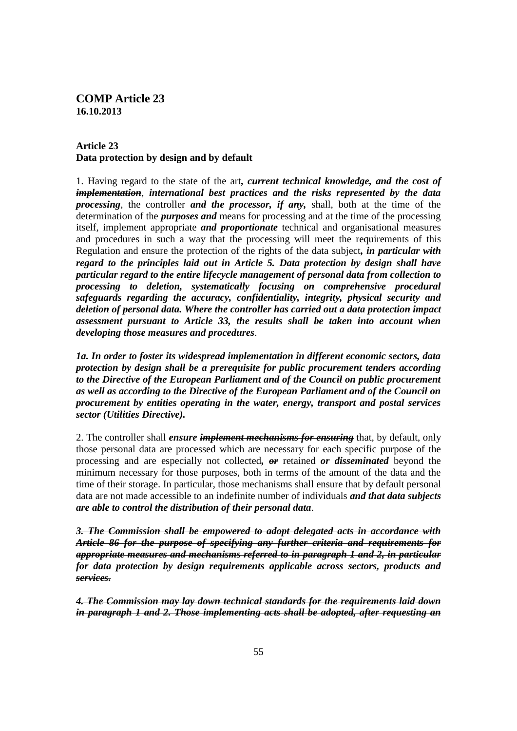## **COMP Article 23 16.10.2013**

#### **Article 23 Data protection by design and by default**

1. Having regard to the state of the art*, current technical knowledge, and the cost of implementation*, *international best practices and the risks represented by the data processing*, the controller *and the processor, if any,* shall, both at the time of the determination of the *purposes and* means for processing and at the time of the processing itself, implement appropriate *and proportionate* technical and organisational measures and procedures in such a way that the processing will meet the requirements of this Regulation and ensure the protection of the rights of the data subject*, in particular with regard to the principles laid out in Article 5. Data protection by design shall have particular regard to the entire lifecycle management of personal data from collection to processing to deletion, systematically focusing on comprehensive procedural safeguards regarding the accuracy, confidentiality, integrity, physical security and deletion of personal data. Where the controller has carried out a data protection impact assessment pursuant to Article 33, the results shall be taken into account when developing those measures and procedures*.

*1a. In order to foster its widespread implementation in different economic sectors, data protection by design shall be a prerequisite for public procurement tenders according to the Directive of the European Parliament and of the Council on public procurement as well as according to the Directive of the European Parliament and of the Council on procurement by entities operating in the water, energy, transport and postal services sector (Utilities Directive).*

2. The controller shall *ensure implement mechanisms for ensuring* that, by default, only those personal data are processed which are necessary for each specific purpose of the processing and are especially not collected*, or* retained *or disseminated* beyond the minimum necessary for those purposes, both in terms of the amount of the data and the time of their storage. In particular, those mechanisms shall ensure that by default personal data are not made accessible to an indefinite number of individuals *and that data subjects are able to control the distribution of their personal data*.

*3. The Commission shall be empowered to adopt delegated acts in accordance with Article 86 for the purpose of specifying any further criteria and requirements for appropriate measures and mechanisms referred to in paragraph 1 and 2, in particular for data protection by design requirements applicable across sectors, products and services.*

*4. The Commission may lay down technical standards for the requirements laid down in paragraph 1 and 2. Those implementing acts shall be adopted, after requesting an*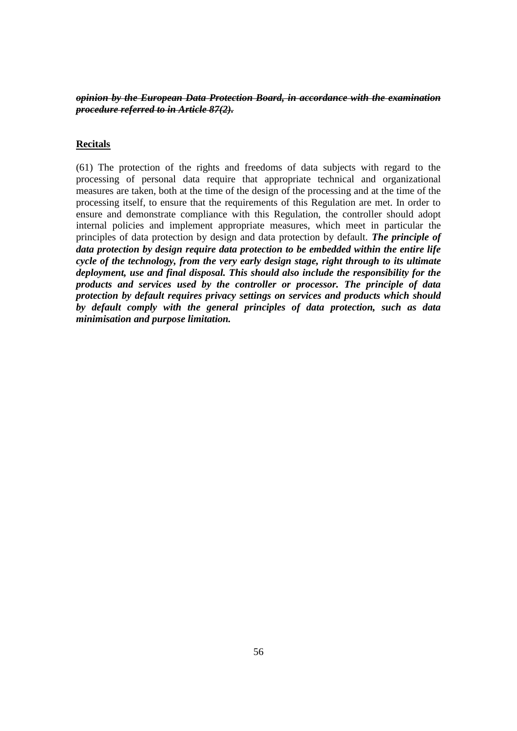*opinion by the European Data Protection Board, in accordance with the examination procedure referred to in Article 87(2).*

#### **Recitals**

(61) The protection of the rights and freedoms of data subjects with regard to the processing of personal data require that appropriate technical and organizational measures are taken, both at the time of the design of the processing and at the time of the processing itself, to ensure that the requirements of this Regulation are met. In order to ensure and demonstrate compliance with this Regulation, the controller should adopt internal policies and implement appropriate measures, which meet in particular the principles of data protection by design and data protection by default. *The principle of data protection by design require data protection to be embedded within the entire life cycle of the technology, from the very early design stage, right through to its ultimate deployment, use and final disposal. This should also include the responsibility for the products and services used by the controller or processor. The principle of data protection by default requires privacy settings on services and products which should by default comply with the general principles of data protection, such as data minimisation and purpose limitation.*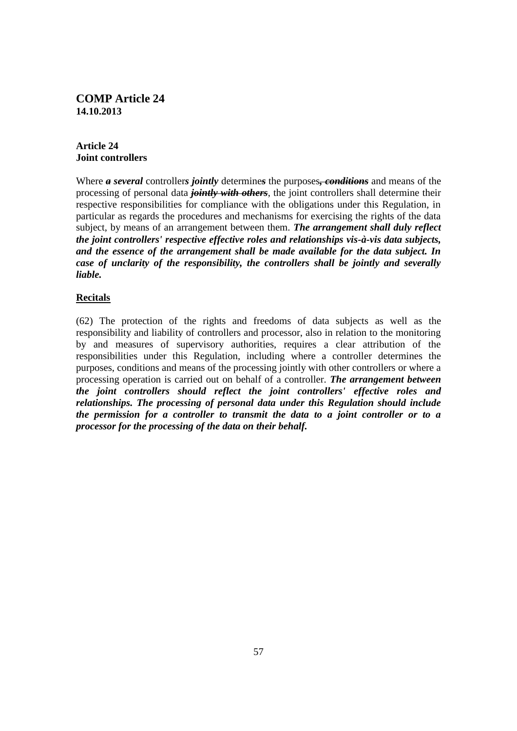## **COMP Article 24 14.10.2013**

## **Article 24 Joint controllers**

Where *a several* controller*s jointly* determine*s* the purposes*, conditions* and means of the processing of personal data *jointly with others*, the joint controllers shall determine their respective responsibilities for compliance with the obligations under this Regulation, in particular as regards the procedures and mechanisms for exercising the rights of the data subject, by means of an arrangement between them. *The arrangement shall duly reflect the joint controllers' respective effective roles and relationships vis-à-vis data subjects, and the essence of the arrangement shall be made available for the data subject. In case of unclarity of the responsibility, the controllers shall be jointly and severally liable.*

## **Recitals**

(62) The protection of the rights and freedoms of data subjects as well as the responsibility and liability of controllers and processor, also in relation to the monitoring by and measures of supervisory authorities, requires a clear attribution of the responsibilities under this Regulation, including where a controller determines the purposes, conditions and means of the processing jointly with other controllers or where a processing operation is carried out on behalf of a controller. *The arrangement between the joint controllers should reflect the joint controllers' effective roles and relationships. The processing of personal data under this Regulation should include the permission for a controller to transmit the data to a joint controller or to a processor for the processing of the data on their behalf.*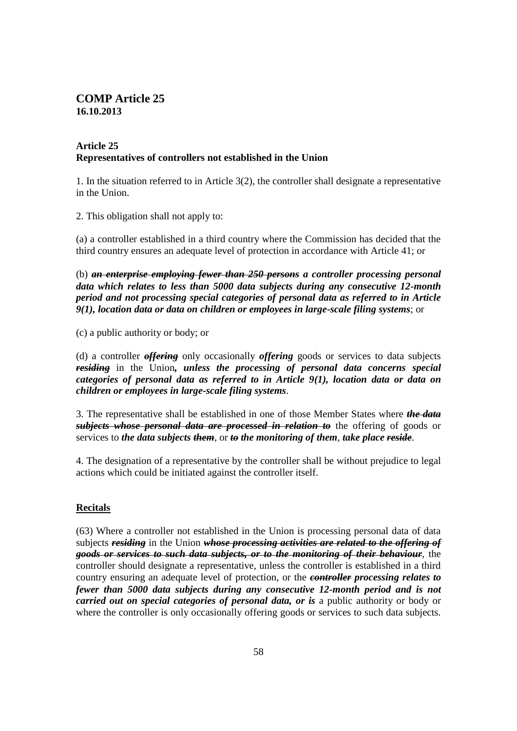## **COMP Article 25 16.10.2013**

## **Article 25 Representatives of controllers not established in the Union**

1. In the situation referred to in Article 3(2), the controller shall designate a representative in the Union.

2. This obligation shall not apply to:

(a) a controller established in a third country where the Commission has decided that the third country ensures an adequate level of protection in accordance with Article 41; or

(b) *an enterprise employing fewer than 250 persons a controller processing personal data which relates to less than 5000 data subjects during any consecutive 12-month period and not processing special categories of personal data as referred to in Article 9(1), location data or data on children or employees in large-scale filing systems*; or

(c) a public authority or body; or

(d) a controller *offering* only occasionally *offering* goods or services to data subjects *residing* in the Union*, unless the processing of personal data concerns special categories of personal data as referred to in Article 9(1), location data or data on children or employees in large-scale filing systems*.

3. The representative shall be established in one of those Member States where *the data subjects whose personal data are processed in relation to* the offering of goods or services to *the data subjects them*, or *to the monitoring of them*, *take place reside*.

4. The designation of a representative by the controller shall be without prejudice to legal actions which could be initiated against the controller itself.

### **Recitals**

(63) Where a controller not established in the Union is processing personal data of data subjects *residing* in the Union *whose processing activities are related to the offering of goods or services to such data subjects, or to the monitoring of their behaviour*, the controller should designate a representative, unless the controller is established in a third country ensuring an adequate level of protection, or the *controller processing relates to fewer than 5000 data subjects during any consecutive 12-month period and is not carried out on special categories of personal data, or is* a public authority or body or where the controller is only occasionally offering goods or services to such data subjects.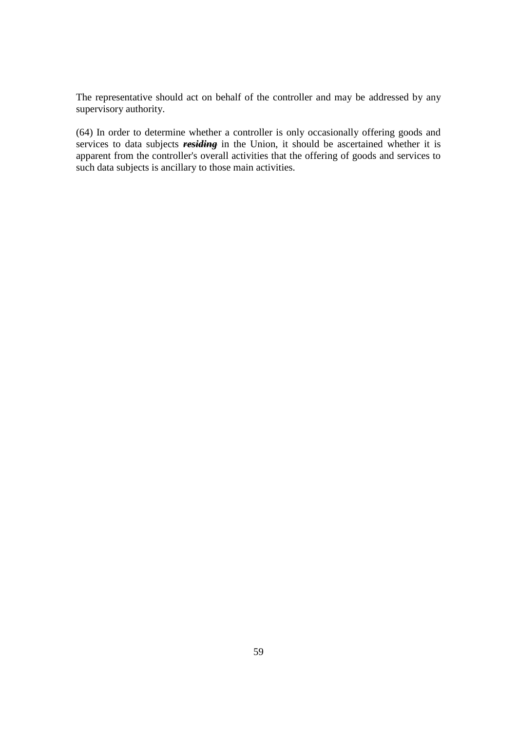The representative should act on behalf of the controller and may be addressed by any supervisory authority.

(64) In order to determine whether a controller is only occasionally offering goods and services to data subjects *residing* in the Union, it should be ascertained whether it is apparent from the controller's overall activities that the offering of goods and services to such data subjects is ancillary to those main activities.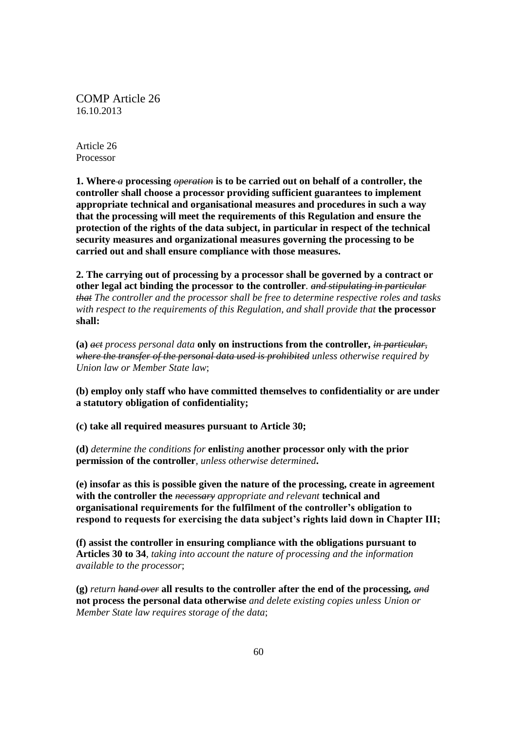COMP Article 26 16.10.2013

Article 26 Processor

**1. Where** *a* **processing** *operation* **is to be carried out on behalf of a controller, the controller shall choose a processor providing sufficient guarantees to implement appropriate technical and organisational measures and procedures in such a way that the processing will meet the requirements of this Regulation and ensure the protection of the rights of the data subject, in particular in respect of the technical security measures and organizational measures governing the processing to be carried out and shall ensure compliance with those measures.**

**2. The carrying out of processing by a processor shall be governed by a contract or other legal act binding the processor to the controller***. and stipulating in particular that The controller and the processor shall be free to determine respective roles and tasks with respect to the requirements of this Regulation, and shall provide that* **the processor shall:**

**(a)** *act process personal data* **only on instructions from the controller,** *in particular, where the transfer of the personal data used is prohibited unless otherwise required by Union law or Member State law*;

**(b) employ only staff who have committed themselves to confidentiality or are under a statutory obligation of confidentiality;**

**(c) take all required measures pursuant to Article 30;**

**(d)** *determine the conditions for* **enlist***ing* **another processor only with the prior permission of the controller***, unless otherwise determined***.**

**(e) insofar as this is possible given the nature of the processing, create in agreement with the controller the** *necessary appropriate and relevant* **technical and organisational requirements for the fulfilment of the controller's obligation to respond to requests for exercising the data subject's rights laid down in Chapter III;**

**(f) assist the controller in ensuring compliance with the obligations pursuant to Articles 30 to 34***, taking into account the nature of processing and the information available to the processor*;

**(g)** *return hand over* **all results to the controller after the end of the processing***, and* **not process the personal data otherwise** *and delete existing copies unless Union or Member State law requires storage of the data*;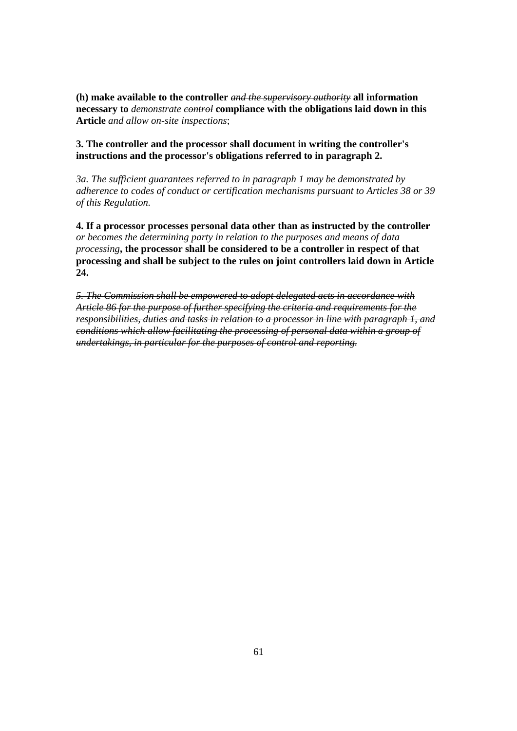**(h) make available to the controller** *and the supervisory authority* **all information necessary to** *demonstrate control* **compliance with the obligations laid down in this Article** *and allow on-site inspections*;

#### **3. The controller and the processor shall document in writing the controller's instructions and the processor's obligations referred to in paragraph 2.**

*3a. The sufficient guarantees referred to in paragraph 1 may be demonstrated by adherence to codes of conduct or certification mechanisms pursuant to Articles 38 or 39 of this Regulation.*

**4. If a processor processes personal data other than as instructed by the controller** *or becomes the determining party in relation to the purposes and means of data processing***, the processor shall be considered to be a controller in respect of that processing and shall be subject to the rules on joint controllers laid down in Article 24.**

*5. The Commission shall be empowered to adopt delegated acts in accordance with Article 86 for the purpose of further specifying the criteria and requirements for the responsibilities, duties and tasks in relation to a processor in line with paragraph 1, and conditions which allow facilitating the processing of personal data within a group of undertakings, in particular for the purposes of control and reporting.*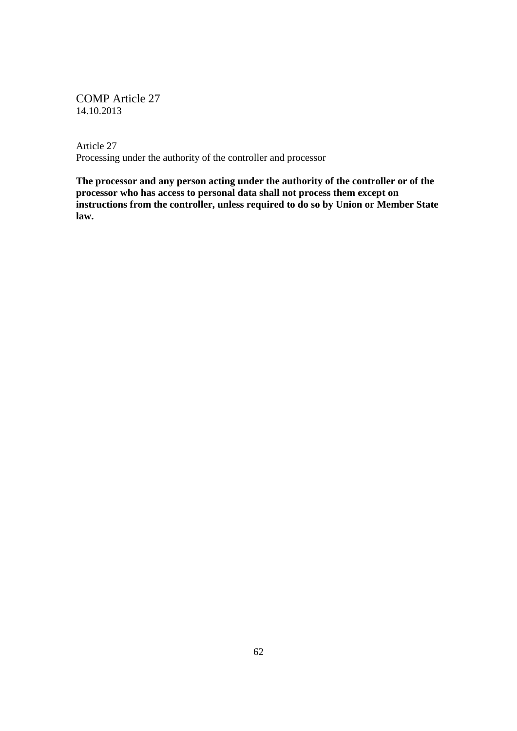COMP Article 27 14.10.2013

Article 27 Processing under the authority of the controller and processor

**The processor and any person acting under the authority of the controller or of the processor who has access to personal data shall not process them except on instructions from the controller, unless required to do so by Union or Member State law.**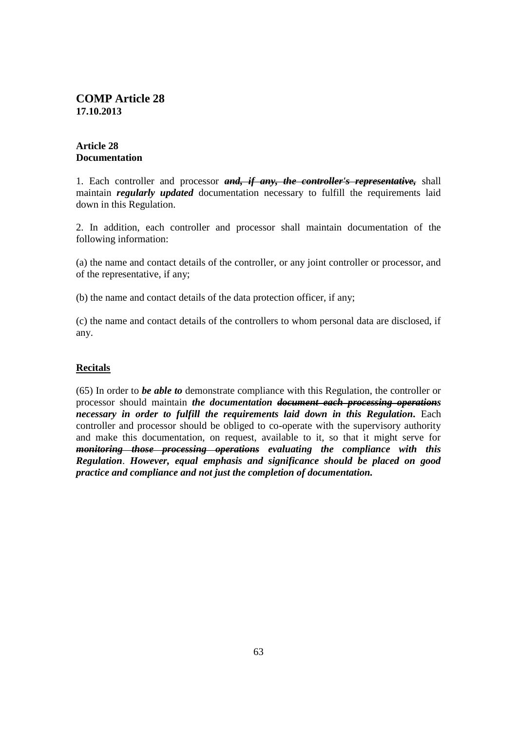## **COMP Article 28 17.10.2013**

## **Article 28 Documentation**

1. Each controller and processor *and, if any, the controller's representative,* shall maintain *regularly updated* documentation necessary to fulfill the requirements laid down in this Regulation.

2. In addition, each controller and processor shall maintain documentation of the following information:

(a) the name and contact details of the controller, or any joint controller or processor, and of the representative, if any;

(b) the name and contact details of the data protection officer, if any;

(c) the name and contact details of the controllers to whom personal data are disclosed, if any.

## **Recitals**

(65) In order to *be able to* demonstrate compliance with this Regulation, the controller or processor should maintain *the documentation document each processing operations necessary in order to fulfill the requirements laid down in this Regulation.* Each controller and processor should be obliged to co-operate with the supervisory authority and make this documentation, on request, available to it, so that it might serve for *monitoring those processing operations evaluating the compliance with this Regulation*. *However, equal emphasis and significance should be placed on good practice and compliance and not just the completion of documentation.*